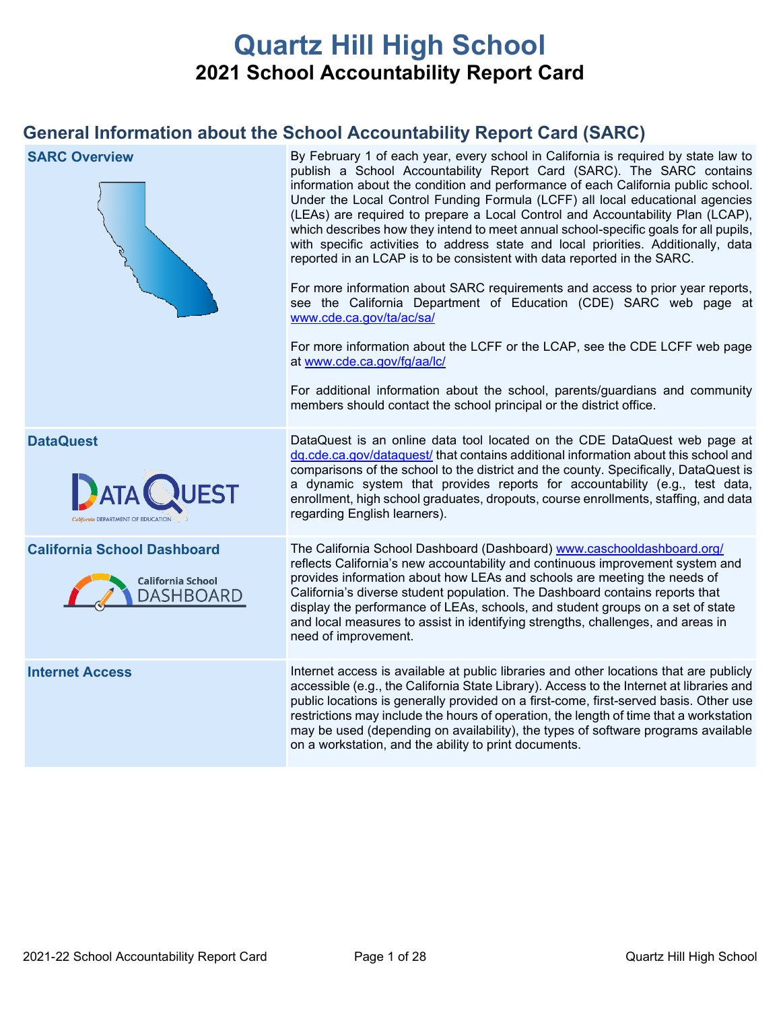# **Quartz Hill High School 2021 School Accountability Report Card**

# **General Information about the School Accountability Report Card (SARC)**

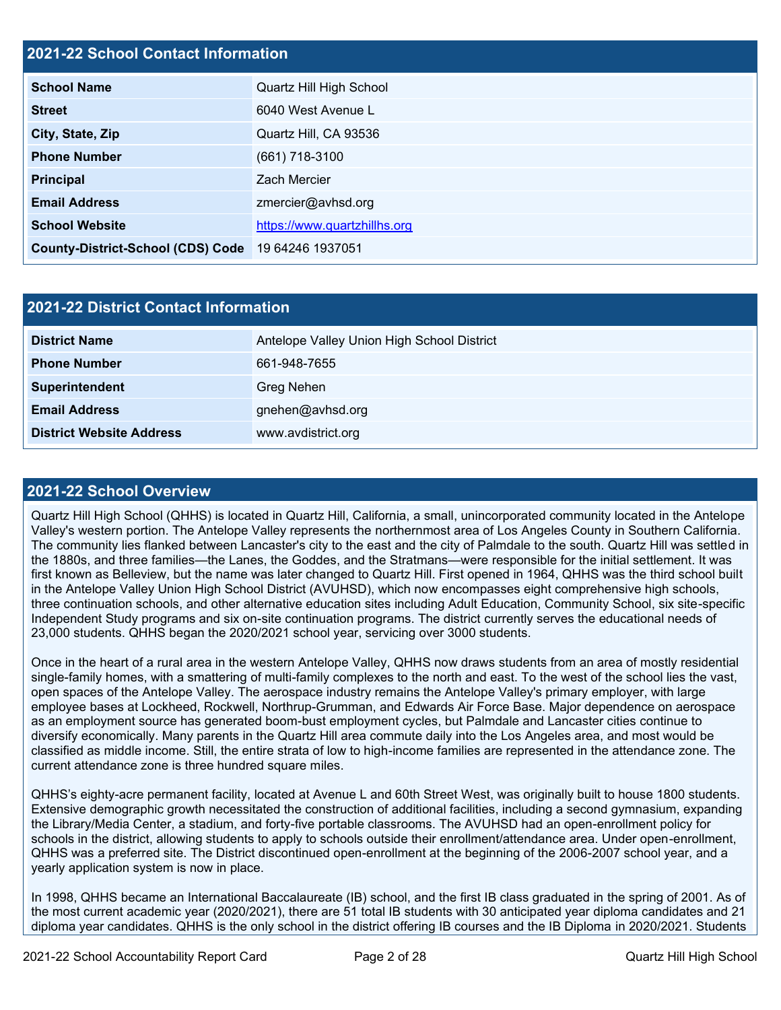### **2021-22 School Contact Information**

| <b>School Name</b>                       | Quartz Hill High School      |  |  |  |
|------------------------------------------|------------------------------|--|--|--|
| <b>Street</b>                            | 6040 West Avenue L           |  |  |  |
| City, State, Zip                         | Quartz Hill, CA 93536        |  |  |  |
| <b>Phone Number</b>                      | $(661)$ 718-3100             |  |  |  |
| <b>Principal</b>                         | <b>Zach Mercier</b>          |  |  |  |
| <b>Email Address</b>                     | zmercier@avhsd.org           |  |  |  |
| <b>School Website</b>                    | https://www.quartzhillhs.org |  |  |  |
| <b>County-District-School (CDS) Code</b> | 19 64246 1937051             |  |  |  |

| <b>2021-22 District Contact Information</b> |                                            |  |  |  |
|---------------------------------------------|--------------------------------------------|--|--|--|
| <b>District Name</b>                        | Antelope Valley Union High School District |  |  |  |
| <b>Phone Number</b>                         | 661-948-7655                               |  |  |  |
| Superintendent                              | Greg Nehen                                 |  |  |  |
| <b>Email Address</b>                        | gnehen@avhsd.org                           |  |  |  |
| <b>District Website Address</b>             | www.avdistrict.org                         |  |  |  |

### **2021-22 School Overview**

Quartz Hill High School (QHHS) is located in Quartz Hill, California, a small, unincorporated community located in the Antelope Valley's western portion. The Antelope Valley represents the northernmost area of Los Angeles County in Southern California. The community lies flanked between Lancaster's city to the east and the city of Palmdale to the south. Quartz Hill was settled in the 1880s, and three families—the Lanes, the Goddes, and the Stratmans—were responsible for the initial settlement. It was first known as Belleview, but the name was later changed to Quartz Hill. First opened in 1964, QHHS was the third school built in the Antelope Valley Union High School District (AVUHSD), which now encompasses eight comprehensive high schools, three continuation schools, and other alternative education sites including Adult Education, Community School, six site-specific Independent Study programs and six on-site continuation programs. The district currently serves the educational needs of 23,000 students. QHHS began the 2020/2021 school year, servicing over 3000 students.

Once in the heart of a rural area in the western Antelope Valley, QHHS now draws students from an area of mostly residential single-family homes, with a smattering of multi-family complexes to the north and east. To the west of the school lies the vast, open spaces of the Antelope Valley. The aerospace industry remains the Antelope Valley's primary employer, with large employee bases at Lockheed, Rockwell, Northrup-Grumman, and Edwards Air Force Base. Major dependence on aerospace as an employment source has generated boom-bust employment cycles, but Palmdale and Lancaster cities continue to diversify economically. Many parents in the Quartz Hill area commute daily into the Los Angeles area, and most would be classified as middle income. Still, the entire strata of low to high-income families are represented in the attendance zone. The current attendance zone is three hundred square miles.

QHHS's eighty-acre permanent facility, located at Avenue L and 60th Street West, was originally built to house 1800 students. Extensive demographic growth necessitated the construction of additional facilities, including a second gymnasium, expanding the Library/Media Center, a stadium, and forty-five portable classrooms. The AVUHSD had an open-enrollment policy for schools in the district, allowing students to apply to schools outside their enrollment/attendance area. Under open-enrollment, QHHS was a preferred site. The District discontinued open-enrollment at the beginning of the 2006-2007 school year, and a yearly application system is now in place.

In 1998, QHHS became an International Baccalaureate (IB) school, and the first IB class graduated in the spring of 2001. As of the most current academic year (2020/2021), there are 51 total IB students with 30 anticipated year diploma candidates and 21 diploma year candidates. QHHS is the only school in the district offering IB courses and the IB Diploma in 2020/2021. Students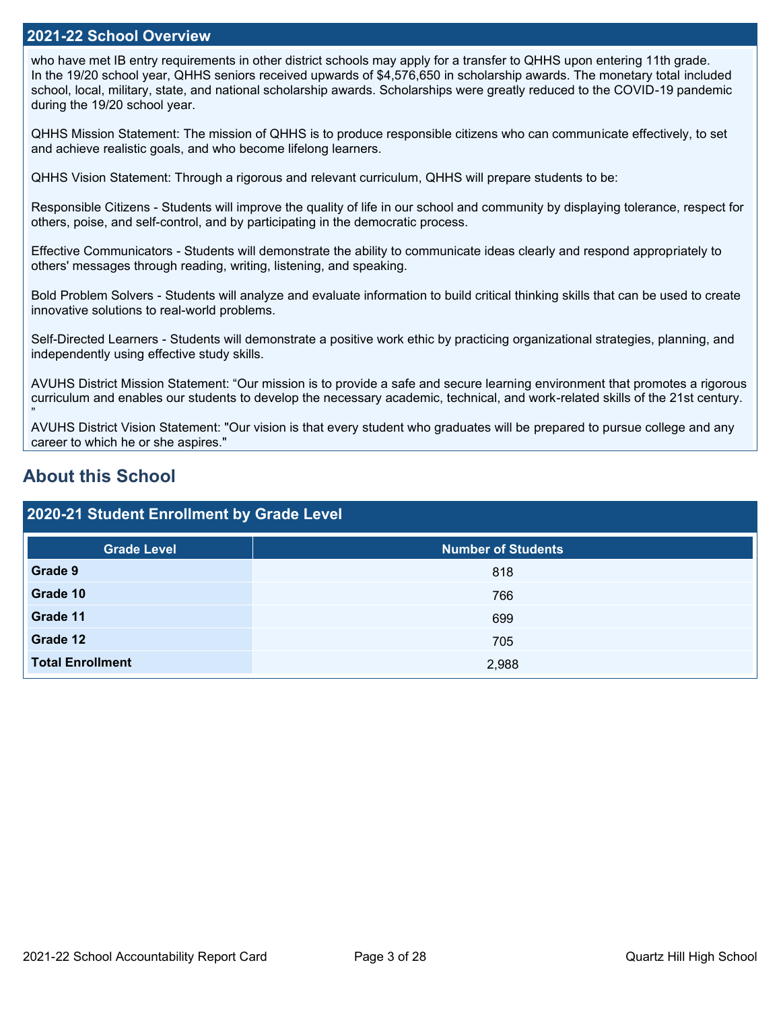### **2021-22 School Overview**

who have met IB entry requirements in other district schools may apply for a transfer to QHHS upon entering 11th grade. In the 19/20 school year, QHHS seniors received upwards of \$4,576,650 in scholarship awards. The monetary total included school, local, military, state, and national scholarship awards. Scholarships were greatly reduced to the COVID-19 pandemic during the 19/20 school year.

QHHS Mission Statement: The mission of QHHS is to produce responsible citizens who can communicate effectively, to set and achieve realistic goals, and who become lifelong learners.

QHHS Vision Statement: Through a rigorous and relevant curriculum, QHHS will prepare students to be:

Responsible Citizens - Students will improve the quality of life in our school and community by displaying tolerance, respect for others, poise, and self-control, and by participating in the democratic process.

Effective Communicators - Students will demonstrate the ability to communicate ideas clearly and respond appropriately to others' messages through reading, writing, listening, and speaking.

Bold Problem Solvers - Students will analyze and evaluate information to build critical thinking skills that can be used to create innovative solutions to real-world problems.

Self-Directed Learners - Students will demonstrate a positive work ethic by practicing organizational strategies, planning, and independently using effective study skills.

AVUHS District Mission Statement: "Our mission is to provide a safe and secure learning environment that promotes a rigorous curriculum and enables our students to develop the necessary academic, technical, and work-related skills of the 21st century.

AVUHS District Vision Statement: "Our vision is that every student who graduates will be prepared to pursue college and any career to which he or she aspires."

## **About this School**

"

### **2020-21 Student Enrollment by Grade Level**

| <b>Grade Level</b>      | <b>Number of Students</b> |
|-------------------------|---------------------------|
| Grade 9                 | 818                       |
| Grade 10                | 766                       |
| Grade 11                | 699                       |
| Grade 12                | 705                       |
| <b>Total Enrollment</b> | 2,988                     |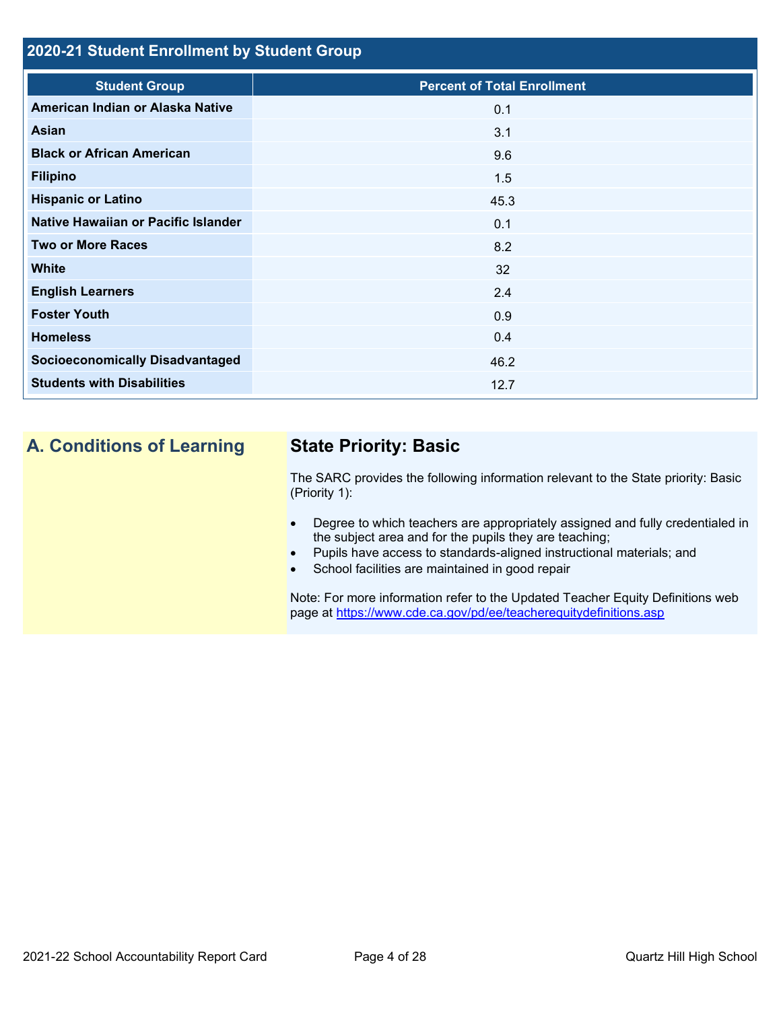### **2020-21 Student Enrollment by Student Group**

| <b>Student Group</b>                   | <b>Percent of Total Enrollment</b> |
|----------------------------------------|------------------------------------|
| American Indian or Alaska Native       | 0.1                                |
| Asian                                  | 3.1                                |
| <b>Black or African American</b>       | 9.6                                |
| <b>Filipino</b>                        | 1.5                                |
| <b>Hispanic or Latino</b>              | 45.3                               |
| Native Hawaiian or Pacific Islander    | 0.1                                |
| <b>Two or More Races</b>               | 8.2                                |
| <b>White</b>                           | 32                                 |
| <b>English Learners</b>                | 2.4                                |
| <b>Foster Youth</b>                    | 0.9                                |
| <b>Homeless</b>                        | 0.4                                |
| <b>Socioeconomically Disadvantaged</b> | 46.2                               |
| <b>Students with Disabilities</b>      | 12.7                               |
|                                        |                                    |

# **A. Conditions of Learning State Priority: Basic**

The SARC provides the following information relevant to the State priority: Basic (Priority 1):

- Degree to which teachers are appropriately assigned and fully credentialed in the subject area and for the pupils they are teaching;
- Pupils have access to standards-aligned instructional materials; and
- School facilities are maintained in good repair

Note: For more information refer to the Updated Teacher Equity Definitions web page at<https://www.cde.ca.gov/pd/ee/teacherequitydefinitions.asp>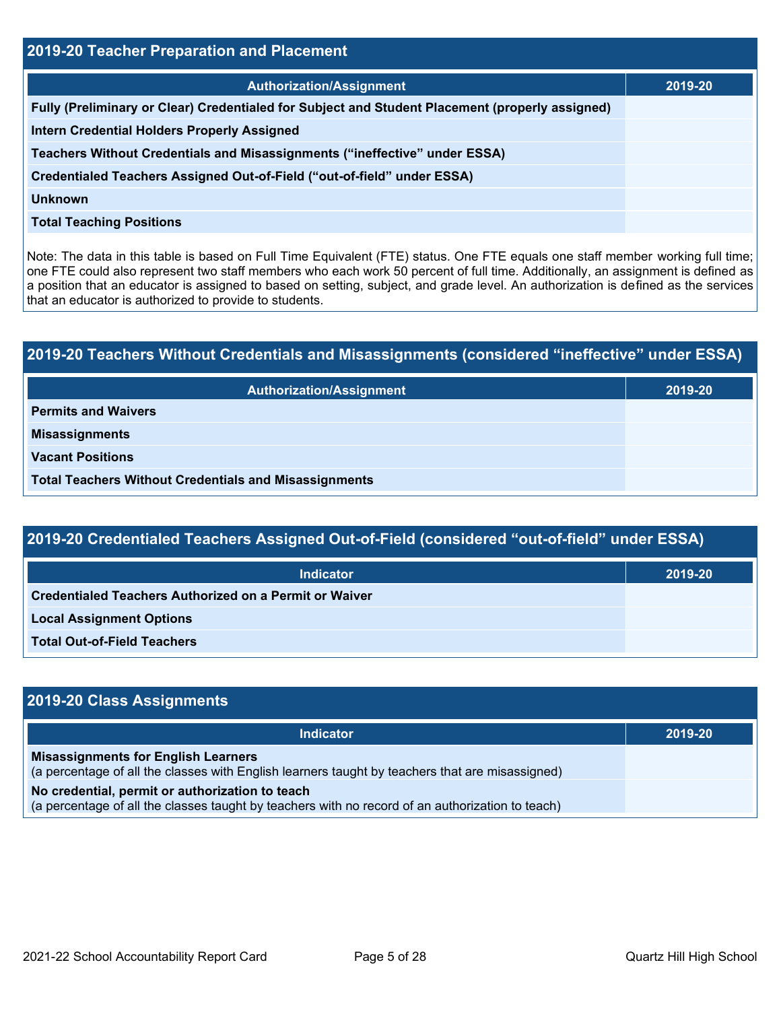| 2019-20 Teacher Preparation and Placement                                                       |         |  |  |
|-------------------------------------------------------------------------------------------------|---------|--|--|
| <b>Authorization/Assignment</b>                                                                 | 2019-20 |  |  |
| Fully (Preliminary or Clear) Credentialed for Subject and Student Placement (properly assigned) |         |  |  |
| <b>Intern Credential Holders Properly Assigned</b>                                              |         |  |  |
| Teachers Without Credentials and Misassignments ("ineffective" under ESSA)                      |         |  |  |
| Credentialed Teachers Assigned Out-of-Field ("out-of-field" under ESSA)                         |         |  |  |
| <b>Unknown</b>                                                                                  |         |  |  |
| <b>Total Teaching Positions</b>                                                                 |         |  |  |

Note: The data in this table is based on Full Time Equivalent (FTE) status. One FTE equals one staff member working full time; one FTE could also represent two staff members who each work 50 percent of full time. Additionally, an assignment is defined as a position that an educator is assigned to based on setting, subject, and grade level. An authorization is defined as the services that an educator is authorized to provide to students.

# **2019-20 Teachers Without Credentials and Misassignments (considered "ineffective" under ESSA) Authorization/Assignment 2019-20 Permits and Waivers Misassignments Vacant Positions Total Teachers Without Credentials and Misassignments**

| 2019-20 Credentialed Teachers Assigned Out-of-Field (considered "out-of-field" under ESSA) |         |  |
|--------------------------------------------------------------------------------------------|---------|--|
| <b>Indicator</b>                                                                           | 2019-20 |  |
| <b>Credentialed Teachers Authorized on a Permit or Waiver</b>                              |         |  |

| <b>Local Assignment Options</b> |
|---------------------------------|
|                                 |

**Total Out-of-Field Teachers**

| 2019-20 Class Assignments                                                                                                                           |         |
|-----------------------------------------------------------------------------------------------------------------------------------------------------|---------|
| <b>Indicator</b>                                                                                                                                    | 2019-20 |
| <b>Misassignments for English Learners</b><br>(a percentage of all the classes with English learners taught by teachers that are misassigned)       |         |
| No credential, permit or authorization to teach<br>(a percentage of all the classes taught by teachers with no record of an authorization to teach) |         |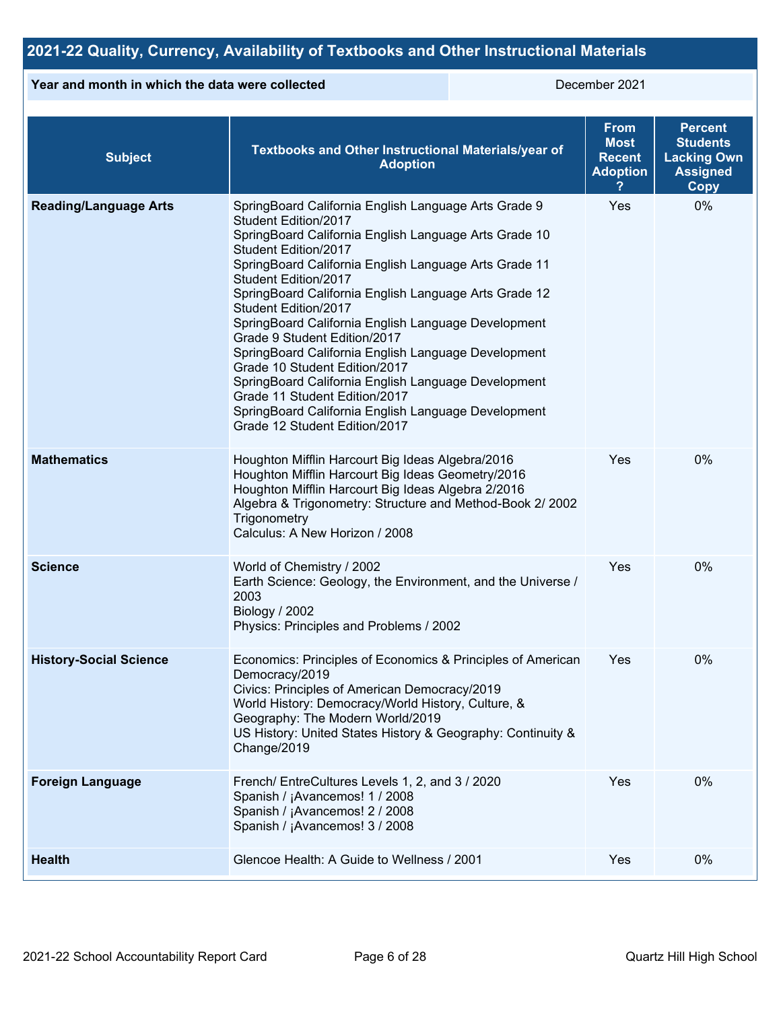## **2021-22 Quality, Currency, Availability of Textbooks and Other Instructional Materials**

### **Year and month in which the data were collected** December 2021

| <b>Subject</b>                | Textbooks and Other Instructional Materials/year of<br><b>Adoption</b>                                                                                                                                                                                                                                                                                                                                                                                                                                                                                                                                                                                                                         | <b>From</b><br><b>Most</b><br><b>Recent</b><br><b>Adoption</b> | <b>Percent</b><br><b>Students</b><br><b>Lacking Own</b><br><b>Assigned</b><br>Copy |
|-------------------------------|------------------------------------------------------------------------------------------------------------------------------------------------------------------------------------------------------------------------------------------------------------------------------------------------------------------------------------------------------------------------------------------------------------------------------------------------------------------------------------------------------------------------------------------------------------------------------------------------------------------------------------------------------------------------------------------------|----------------------------------------------------------------|------------------------------------------------------------------------------------|
| <b>Reading/Language Arts</b>  | SpringBoard California English Language Arts Grade 9<br>Student Edition/2017<br>SpringBoard California English Language Arts Grade 10<br>Student Edition/2017<br>SpringBoard California English Language Arts Grade 11<br>Student Edition/2017<br>SpringBoard California English Language Arts Grade 12<br>Student Edition/2017<br>SpringBoard California English Language Development<br>Grade 9 Student Edition/2017<br>SpringBoard California English Language Development<br>Grade 10 Student Edition/2017<br>SpringBoard California English Language Development<br>Grade 11 Student Edition/2017<br>SpringBoard California English Language Development<br>Grade 12 Student Edition/2017 | Yes                                                            | 0%                                                                                 |
| <b>Mathematics</b>            | Houghton Mifflin Harcourt Big Ideas Algebra/2016<br>Houghton Mifflin Harcourt Big Ideas Geometry/2016<br>Houghton Mifflin Harcourt Big Ideas Algebra 2/2016<br>Algebra & Trigonometry: Structure and Method-Book 2/2002<br>Trigonometry<br>Calculus: A New Horizon / 2008                                                                                                                                                                                                                                                                                                                                                                                                                      | Yes                                                            | 0%                                                                                 |
| <b>Science</b>                | World of Chemistry / 2002<br>Earth Science: Geology, the Environment, and the Universe /<br>2003<br>Biology / 2002<br>Physics: Principles and Problems / 2002                                                                                                                                                                                                                                                                                                                                                                                                                                                                                                                                  | Yes                                                            | 0%                                                                                 |
| <b>History-Social Science</b> | Economics: Principles of Economics & Principles of American<br>Democracy/2019<br>Civics: Principles of American Democracy/2019<br>World History: Democracy/World History, Culture, &<br>Geography: The Modern World/2019<br>US History: United States History & Geography: Continuity &<br>Change/2019                                                                                                                                                                                                                                                                                                                                                                                         | Yes                                                            | 0%                                                                                 |
| <b>Foreign Language</b>       | French/ EntreCultures Levels 1, 2, and 3 / 2020<br>Spanish / ¡Avancemos! 1 / 2008<br>Spanish / ¡Avancemos! 2 / 2008<br>Spanish / ¡Avancemos! 3 / 2008                                                                                                                                                                                                                                                                                                                                                                                                                                                                                                                                          | Yes                                                            | 0%                                                                                 |
| <b>Health</b>                 | Glencoe Health: A Guide to Wellness / 2001                                                                                                                                                                                                                                                                                                                                                                                                                                                                                                                                                                                                                                                     | Yes                                                            | 0%                                                                                 |
|                               |                                                                                                                                                                                                                                                                                                                                                                                                                                                                                                                                                                                                                                                                                                |                                                                |                                                                                    |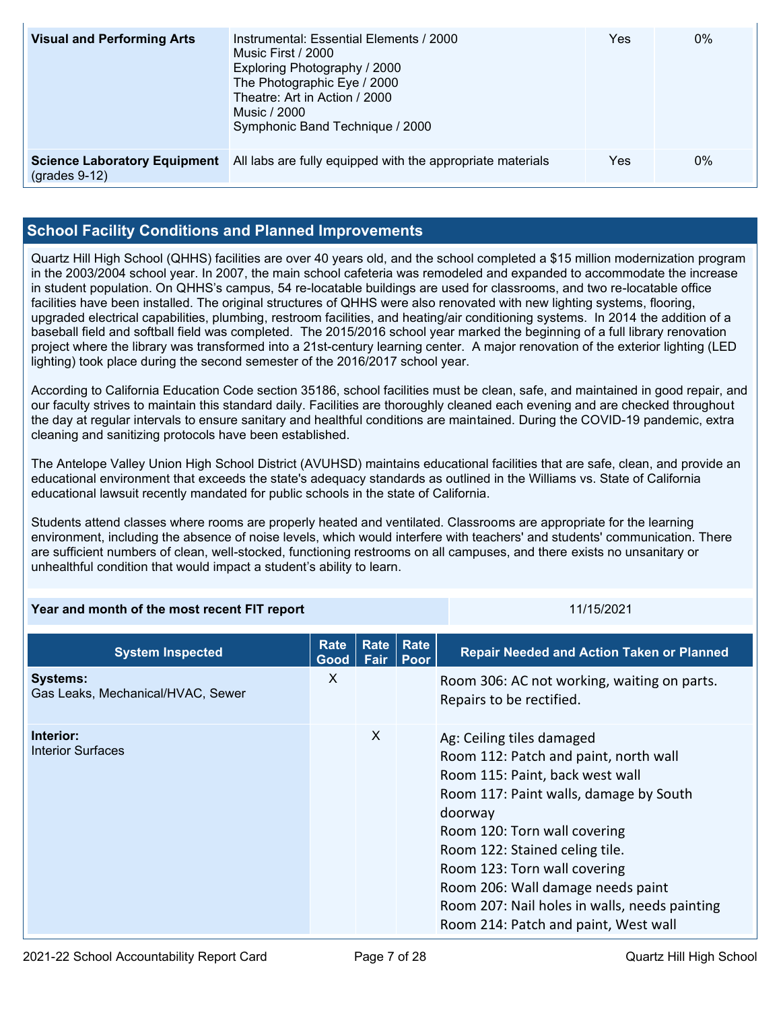| <b>Visual and Performing Arts</b>                      | Instrumental: Essential Elements / 2000<br>Music First / 2000<br>Exploring Photography / 2000<br>The Photographic Eye / 2000<br>Theatre: Art in Action / 2000<br>Music / 2000<br>Symphonic Band Technique / 2000 | Yes | $0\%$ |
|--------------------------------------------------------|------------------------------------------------------------------------------------------------------------------------------------------------------------------------------------------------------------------|-----|-------|
| <b>Science Laboratory Equipment</b><br>$(grades 9-12)$ | All labs are fully equipped with the appropriate materials                                                                                                                                                       | Yes | $0\%$ |

### **School Facility Conditions and Planned Improvements**

Quartz Hill High School (QHHS) facilities are over 40 years old, and the school completed a \$15 million modernization program in the 2003/2004 school year. In 2007, the main school cafeteria was remodeled and expanded to accommodate the increase in student population. On QHHS's campus, 54 re-locatable buildings are used for classrooms, and two re-locatable office facilities have been installed. The original structures of QHHS were also renovated with new lighting systems, flooring, upgraded electrical capabilities, plumbing, restroom facilities, and heating/air conditioning systems. In 2014 the addition of a baseball field and softball field was completed. The 2015/2016 school year marked the beginning of a full library renovation project where the library was transformed into a 21st-century learning center. A major renovation of the exterior lighting (LED lighting) took place during the second semester of the 2016/2017 school year.

According to California Education Code section 35186, school facilities must be clean, safe, and maintained in good repair, and our faculty strives to maintain this standard daily. Facilities are thoroughly cleaned each evening and are checked throughout the day at regular intervals to ensure sanitary and healthful conditions are maintained. During the COVID-19 pandemic, extra cleaning and sanitizing protocols have been established.

The Antelope Valley Union High School District (AVUHSD) maintains educational facilities that are safe, clean, and provide an educational environment that exceeds the state's adequacy standards as outlined in the Williams vs. State of California educational lawsuit recently mandated for public schools in the state of California.

Students attend classes where rooms are properly heated and ventilated. Classrooms are appropriate for the learning environment, including the absence of noise levels, which would interfere with teachers' and students' communication. There are sufficient numbers of clean, well-stocked, functioning restrooms on all campuses, and there exists no unsanitary or unhealthful condition that would impact a student's ability to learn.

|  | Year and month of the most recent FIT report | 11/15/2021 |
|--|----------------------------------------------|------------|
|--|----------------------------------------------|------------|

| <b>System Inspected</b>                              | Rate<br>Good | Rate<br><b>Fair</b> | Rate<br>Poor | <b>Repair Needed and Action Taken or Planned</b>                                                                                                                                                                                                                                                                                                                                           |
|------------------------------------------------------|--------------|---------------------|--------------|--------------------------------------------------------------------------------------------------------------------------------------------------------------------------------------------------------------------------------------------------------------------------------------------------------------------------------------------------------------------------------------------|
| <b>Systems:</b><br>Gas Leaks, Mechanical/HVAC, Sewer | X            |                     |              | Room 306: AC not working, waiting on parts.<br>Repairs to be rectified.                                                                                                                                                                                                                                                                                                                    |
| Interior:<br>Interior Surfaces                       |              | $\times$            |              | Ag: Ceiling tiles damaged<br>Room 112: Patch and paint, north wall<br>Room 115: Paint, back west wall<br>Room 117: Paint walls, damage by South<br>doorway<br>Room 120: Torn wall covering<br>Room 122: Stained celing tile.<br>Room 123: Torn wall covering<br>Room 206: Wall damage needs paint<br>Room 207: Nail holes in walls, needs painting<br>Room 214: Patch and paint, West wall |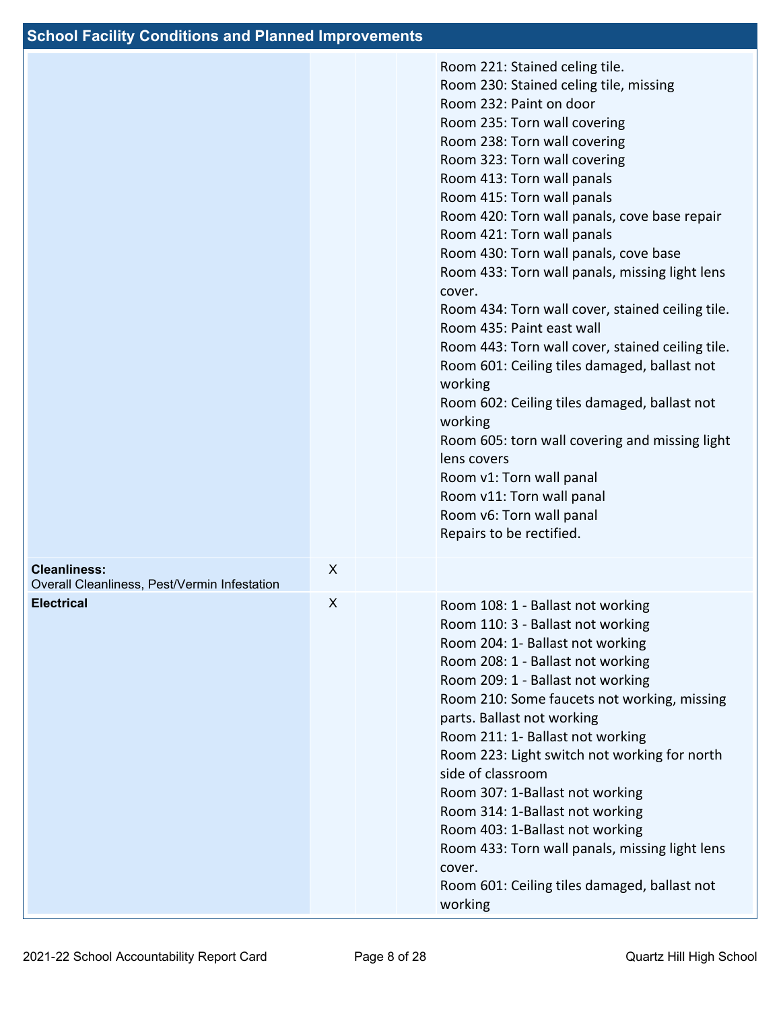|                                                                     |   |  | Room 221: Stained celing tile.<br>Room 230: Stained celing tile, missing<br>Room 232: Paint on door<br>Room 235: Torn wall covering<br>Room 238: Torn wall covering<br>Room 323: Torn wall covering<br>Room 413: Torn wall panals<br>Room 415: Torn wall panals<br>Room 420: Torn wall panals, cove base repair<br>Room 421: Torn wall panals<br>Room 430: Torn wall panals, cove base<br>Room 433: Torn wall panals, missing light lens<br>cover.<br>Room 434: Torn wall cover, stained ceiling tile.<br>Room 435: Paint east wall<br>Room 443: Torn wall cover, stained ceiling tile.<br>Room 601: Ceiling tiles damaged, ballast not<br>working<br>Room 602: Ceiling tiles damaged, ballast not<br>working<br>Room 605: torn wall covering and missing light<br>lens covers<br>Room v1: Torn wall panal<br>Room v11: Torn wall panal<br>Room v6: Torn wall panal<br>Repairs to be rectified. |
|---------------------------------------------------------------------|---|--|-------------------------------------------------------------------------------------------------------------------------------------------------------------------------------------------------------------------------------------------------------------------------------------------------------------------------------------------------------------------------------------------------------------------------------------------------------------------------------------------------------------------------------------------------------------------------------------------------------------------------------------------------------------------------------------------------------------------------------------------------------------------------------------------------------------------------------------------------------------------------------------------------|
| <b>Cleanliness:</b><br>Overall Cleanliness, Pest/Vermin Infestation | X |  |                                                                                                                                                                                                                                                                                                                                                                                                                                                                                                                                                                                                                                                                                                                                                                                                                                                                                                 |
| <b>Electrical</b>                                                   | X |  | Room 108: 1 - Ballast not working<br>Room 110: 3 - Ballast not working<br>Room 204: 1- Ballast not working<br>Room 208: 1 - Ballast not working<br>Room 209: 1 - Ballast not working<br>Room 210: Some faucets not working, missing<br>parts. Ballast not working<br>Room 211: 1- Ballast not working<br>Room 223: Light switch not working for north<br>side of classroom<br>Room 307: 1-Ballast not working<br>Room 314: 1-Ballast not working<br>Room 403: 1-Ballast not working<br>Room 433: Torn wall panals, missing light lens<br>cover.<br>Room 601: Ceiling tiles damaged, ballast not<br>working                                                                                                                                                                                                                                                                                      |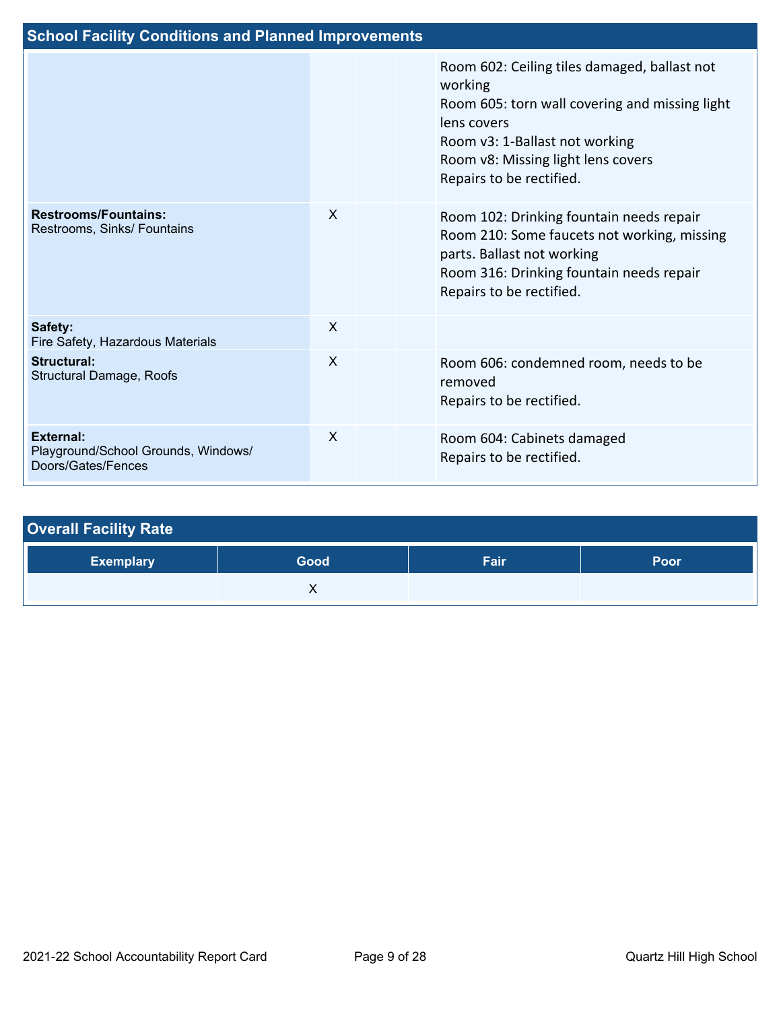| <b>School Facility Conditions and Planned Improvements</b>                    |              |  |                                                                                                                                                                                                                              |  |  |  |
|-------------------------------------------------------------------------------|--------------|--|------------------------------------------------------------------------------------------------------------------------------------------------------------------------------------------------------------------------------|--|--|--|
|                                                                               |              |  | Room 602: Ceiling tiles damaged, ballast not<br>working<br>Room 605: torn wall covering and missing light<br>lens covers<br>Room v3: 1-Ballast not working<br>Room v8: Missing light lens covers<br>Repairs to be rectified. |  |  |  |
| <b>Restrooms/Fountains:</b><br>Restrooms, Sinks/ Fountains                    | $\mathsf{X}$ |  | Room 102: Drinking fountain needs repair<br>Room 210: Some faucets not working, missing<br>parts. Ballast not working<br>Room 316: Drinking fountain needs repair<br>Repairs to be rectified.                                |  |  |  |
| Safety:<br>Fire Safety, Hazardous Materials                                   | $\mathsf{X}$ |  |                                                                                                                                                                                                                              |  |  |  |
| <b>Structural:</b><br><b>Structural Damage, Roofs</b>                         | $\sf X$      |  | Room 606: condemned room, needs to be<br>removed<br>Repairs to be rectified.                                                                                                                                                 |  |  |  |
| <b>External:</b><br>Playground/School Grounds, Windows/<br>Doors/Gates/Fences | $\mathsf{x}$ |  | Room 604: Cabinets damaged<br>Repairs to be rectified.                                                                                                                                                                       |  |  |  |

| <b>Overall Facility Rate</b> |      |      |             |
|------------------------------|------|------|-------------|
| <b>Exemplary</b>             | Good | Fair | <b>Poor</b> |
|                              |      |      |             |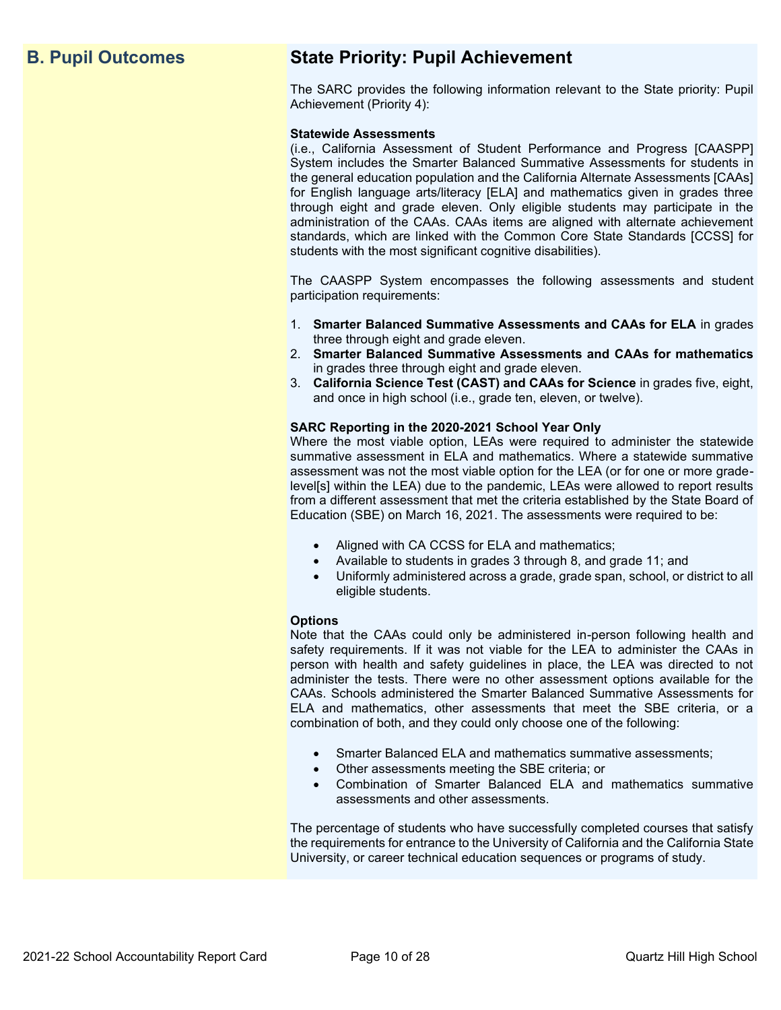## **B. Pupil Outcomes State Priority: Pupil Achievement**

The SARC provides the following information relevant to the State priority: Pupil Achievement (Priority 4):

### **Statewide Assessments**

(i.e., California Assessment of Student Performance and Progress [CAASPP] System includes the Smarter Balanced Summative Assessments for students in the general education population and the California Alternate Assessments [CAAs] for English language arts/literacy [ELA] and mathematics given in grades three through eight and grade eleven. Only eligible students may participate in the administration of the CAAs. CAAs items are aligned with alternate achievement standards, which are linked with the Common Core State Standards [CCSS] for students with the most significant cognitive disabilities).

The CAASPP System encompasses the following assessments and student participation requirements:

- 1. **Smarter Balanced Summative Assessments and CAAs for ELA** in grades three through eight and grade eleven.
- 2. **Smarter Balanced Summative Assessments and CAAs for mathematics** in grades three through eight and grade eleven.
- 3. **California Science Test (CAST) and CAAs for Science** in grades five, eight, and once in high school (i.e., grade ten, eleven, or twelve).

### **SARC Reporting in the 2020-2021 School Year Only**

Where the most viable option, LEAs were required to administer the statewide summative assessment in ELA and mathematics. Where a statewide summative assessment was not the most viable option for the LEA (or for one or more gradelevel[s] within the LEA) due to the pandemic, LEAs were allowed to report results from a different assessment that met the criteria established by the State Board of Education (SBE) on March 16, 2021. The assessments were required to be:

- Aligned with CA CCSS for ELA and mathematics;
- Available to students in grades 3 through 8, and grade 11; and
- Uniformly administered across a grade, grade span, school, or district to all eligible students.

### **Options**

Note that the CAAs could only be administered in-person following health and safety requirements. If it was not viable for the LEA to administer the CAAs in person with health and safety guidelines in place, the LEA was directed to not administer the tests. There were no other assessment options available for the CAAs. Schools administered the Smarter Balanced Summative Assessments for ELA and mathematics, other assessments that meet the SBE criteria, or a combination of both, and they could only choose one of the following:

- Smarter Balanced ELA and mathematics summative assessments;
- Other assessments meeting the SBE criteria; or
- Combination of Smarter Balanced ELA and mathematics summative assessments and other assessments.

The percentage of students who have successfully completed courses that satisfy the requirements for entrance to the University of California and the California State University, or career technical education sequences or programs of study.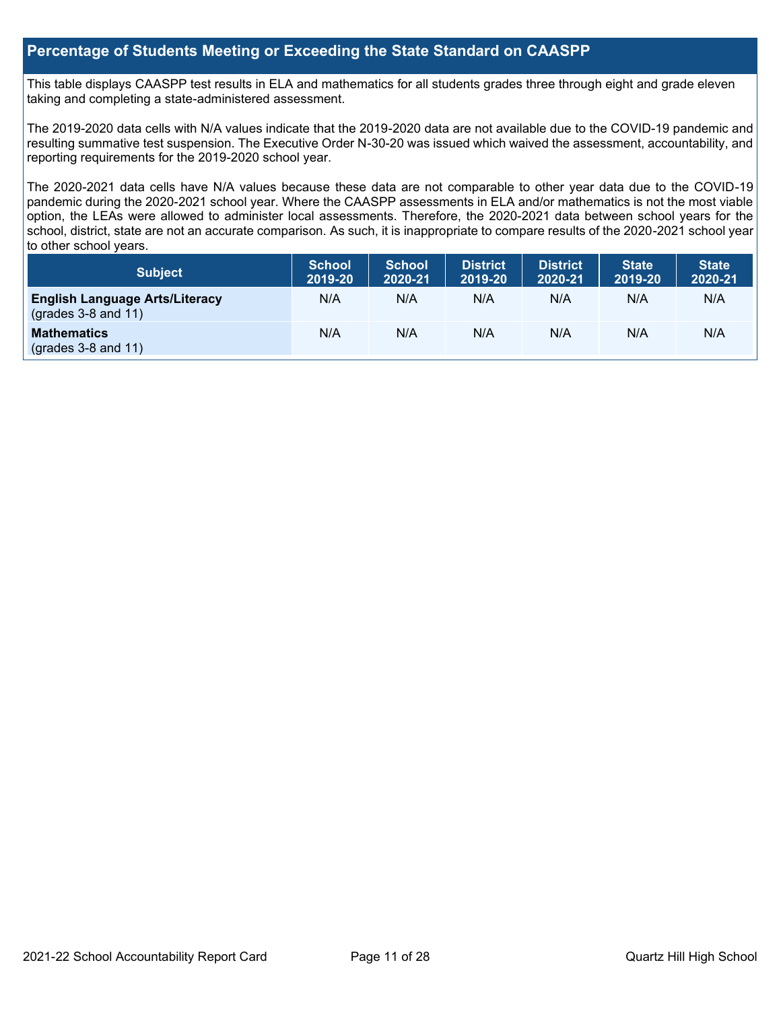### **Percentage of Students Meeting or Exceeding the State Standard on CAASPP**

This table displays CAASPP test results in ELA and mathematics for all students grades three through eight and grade eleven taking and completing a state-administered assessment.

The 2019-2020 data cells with N/A values indicate that the 2019-2020 data are not available due to the COVID-19 pandemic and resulting summative test suspension. The Executive Order N-30-20 was issued which waived the assessment, accountability, and reporting requirements for the 2019-2020 school year.

The 2020-2021 data cells have N/A values because these data are not comparable to other year data due to the COVID-19 pandemic during the 2020-2021 school year. Where the CAASPP assessments in ELA and/or mathematics is not the most viable option, the LEAs were allowed to administer local assessments. Therefore, the 2020-2021 data between school years for the school, district, state are not an accurate comparison. As such, it is inappropriate to compare results of the 2020-2021 school year to other school years.

| Subject                                                              | <b>School</b><br>2019-20 | <b>School</b><br>2020-21 | <b>District</b><br>2019-20 | <b>District</b><br>2020-21 | <b>State</b><br>2019-20 | <b>State</b><br>2020-21 |
|----------------------------------------------------------------------|--------------------------|--------------------------|----------------------------|----------------------------|-------------------------|-------------------------|
| <b>English Language Arts/Literacy</b><br>$\left($ grades 3-8 and 11) | N/A                      | N/A                      | N/A                        | N/A                        | N/A                     | N/A                     |
| <b>Mathematics</b><br>$(grades 3-8 and 11)$                          | N/A                      | N/A                      | N/A                        | N/A                        | N/A                     | N/A                     |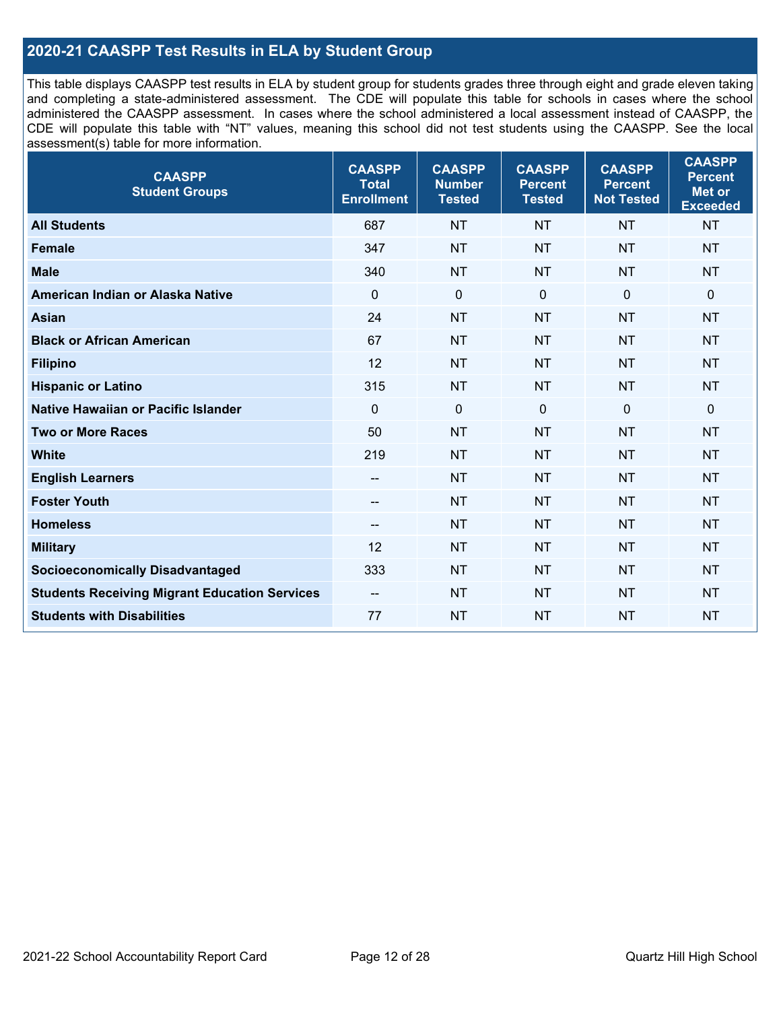### **2020-21 CAASPP Test Results in ELA by Student Group**

This table displays CAASPP test results in ELA by student group for students grades three through eight and grade eleven taking and completing a state-administered assessment. The CDE will populate this table for schools in cases where the school administered the CAASPP assessment. In cases where the school administered a local assessment instead of CAASPP, the CDE will populate this table with "NT" values, meaning this school did not test students using the CAASPP. See the local assessment(s) table for more information.

| <b>CAASPP</b><br><b>Student Groups</b>               | <b>CAASPP</b><br><b>Total</b><br><b>Enrollment</b> | <b>CAASPP</b><br><b>Number</b><br><b>Tested</b> | <b>CAASPP</b><br><b>Percent</b><br><b>Tested</b> | <b>CAASPP</b><br><b>Percent</b><br><b>Not Tested</b> | <b>CAASPP</b><br><b>Percent</b><br>Met or<br><b>Exceeded</b> |
|------------------------------------------------------|----------------------------------------------------|-------------------------------------------------|--------------------------------------------------|------------------------------------------------------|--------------------------------------------------------------|
| <b>All Students</b>                                  | 687                                                | <b>NT</b>                                       | <b>NT</b>                                        | <b>NT</b>                                            | <b>NT</b>                                                    |
| <b>Female</b>                                        | 347                                                | <b>NT</b>                                       | <b>NT</b>                                        | <b>NT</b>                                            | <b>NT</b>                                                    |
| <b>Male</b>                                          | 340                                                | <b>NT</b>                                       | <b>NT</b>                                        | <b>NT</b>                                            | <b>NT</b>                                                    |
| American Indian or Alaska Native                     | $\mathbf 0$                                        | $\mathbf 0$                                     | $\mathbf 0$                                      | $\mathbf 0$                                          | $\mathbf 0$                                                  |
| <b>Asian</b>                                         | 24                                                 | <b>NT</b>                                       | <b>NT</b>                                        | <b>NT</b>                                            | <b>NT</b>                                                    |
| <b>Black or African American</b>                     | 67                                                 | <b>NT</b>                                       | <b>NT</b>                                        | <b>NT</b>                                            | <b>NT</b>                                                    |
| <b>Filipino</b>                                      | 12                                                 | <b>NT</b>                                       | <b>NT</b>                                        | <b>NT</b>                                            | <b>NT</b>                                                    |
| <b>Hispanic or Latino</b>                            | 315                                                | <b>NT</b>                                       | <b>NT</b>                                        | <b>NT</b>                                            | <b>NT</b>                                                    |
| Native Hawaiian or Pacific Islander                  | $\mathbf 0$                                        | $\mathbf 0$                                     | $\mathbf 0$                                      | $\overline{0}$                                       | $\mathbf 0$                                                  |
| <b>Two or More Races</b>                             | 50                                                 | <b>NT</b>                                       | <b>NT</b>                                        | <b>NT</b>                                            | <b>NT</b>                                                    |
| <b>White</b>                                         | 219                                                | <b>NT</b>                                       | <b>NT</b>                                        | <b>NT</b>                                            | <b>NT</b>                                                    |
| <b>English Learners</b>                              | --                                                 | <b>NT</b>                                       | <b>NT</b>                                        | <b>NT</b>                                            | <b>NT</b>                                                    |
| <b>Foster Youth</b>                                  | $\overline{\phantom{a}}$                           | <b>NT</b>                                       | <b>NT</b>                                        | <b>NT</b>                                            | <b>NT</b>                                                    |
| <b>Homeless</b>                                      | --                                                 | <b>NT</b>                                       | <b>NT</b>                                        | <b>NT</b>                                            | <b>NT</b>                                                    |
| <b>Military</b>                                      | 12                                                 | <b>NT</b>                                       | <b>NT</b>                                        | <b>NT</b>                                            | <b>NT</b>                                                    |
| <b>Socioeconomically Disadvantaged</b>               | 333                                                | <b>NT</b>                                       | <b>NT</b>                                        | <b>NT</b>                                            | <b>NT</b>                                                    |
| <b>Students Receiving Migrant Education Services</b> | $\overline{\phantom{a}}$                           | <b>NT</b>                                       | <b>NT</b>                                        | <b>NT</b>                                            | NT                                                           |
| <b>Students with Disabilities</b>                    | 77                                                 | <b>NT</b>                                       | <b>NT</b>                                        | <b>NT</b>                                            | <b>NT</b>                                                    |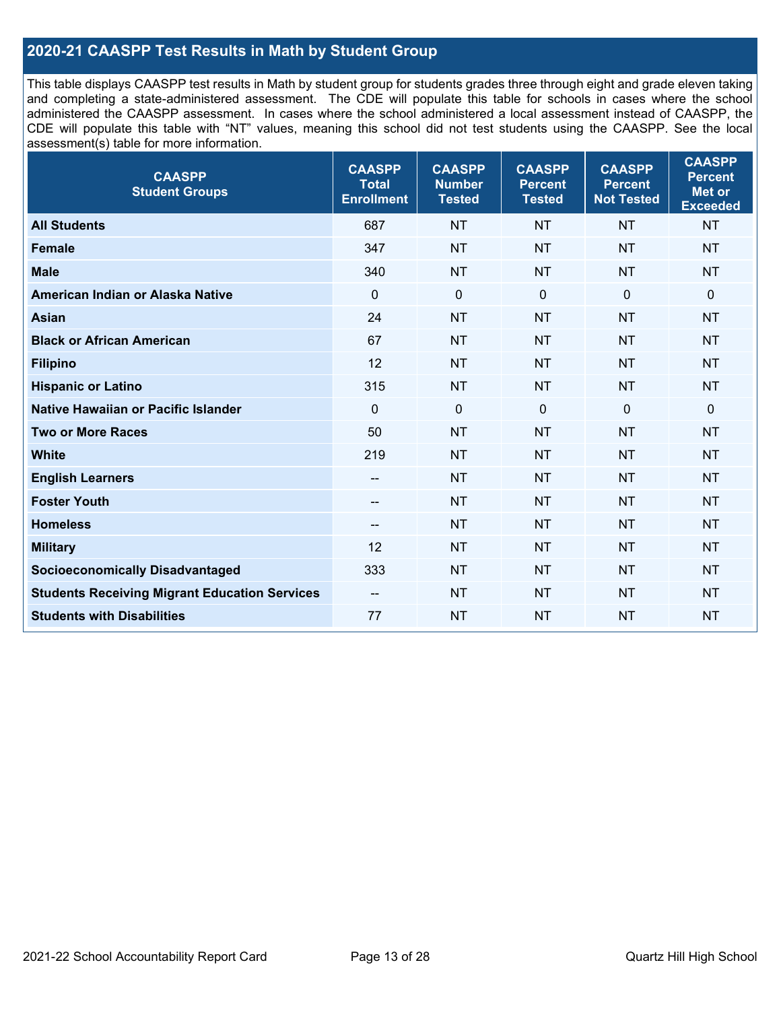### **2020-21 CAASPP Test Results in Math by Student Group**

This table displays CAASPP test results in Math by student group for students grades three through eight and grade eleven taking and completing a state-administered assessment. The CDE will populate this table for schools in cases where the school administered the CAASPP assessment. In cases where the school administered a local assessment instead of CAASPP, the CDE will populate this table with "NT" values, meaning this school did not test students using the CAASPP. See the local assessment(s) table for more information.

| <b>CAASPP</b><br><b>Student Groups</b>               | <b>CAASPP</b><br><b>Total</b><br><b>Enrollment</b> | <b>CAASPP</b><br><b>Number</b><br><b>Tested</b> | <b>CAASPP</b><br><b>Percent</b><br><b>Tested</b> | <b>CAASPP</b><br><b>Percent</b><br><b>Not Tested</b> | <b>CAASPP</b><br><b>Percent</b><br>Met or<br><b>Exceeded</b> |
|------------------------------------------------------|----------------------------------------------------|-------------------------------------------------|--------------------------------------------------|------------------------------------------------------|--------------------------------------------------------------|
| <b>All Students</b>                                  | 687                                                | <b>NT</b>                                       | <b>NT</b>                                        | <b>NT</b>                                            | <b>NT</b>                                                    |
| <b>Female</b>                                        | 347                                                | <b>NT</b>                                       | <b>NT</b>                                        | <b>NT</b>                                            | <b>NT</b>                                                    |
| <b>Male</b>                                          | 340                                                | <b>NT</b>                                       | <b>NT</b>                                        | <b>NT</b>                                            | <b>NT</b>                                                    |
| American Indian or Alaska Native                     | $\mathbf 0$                                        | $\mathbf 0$                                     | $\mathbf 0$                                      | $\mathbf 0$                                          | 0                                                            |
| <b>Asian</b>                                         | 24                                                 | <b>NT</b>                                       | <b>NT</b>                                        | <b>NT</b>                                            | <b>NT</b>                                                    |
| <b>Black or African American</b>                     | 67                                                 | <b>NT</b>                                       | <b>NT</b>                                        | <b>NT</b>                                            | <b>NT</b>                                                    |
| <b>Filipino</b>                                      | 12                                                 | <b>NT</b>                                       | <b>NT</b>                                        | <b>NT</b>                                            | <b>NT</b>                                                    |
| <b>Hispanic or Latino</b>                            | 315                                                | <b>NT</b>                                       | <b>NT</b>                                        | <b>NT</b>                                            | <b>NT</b>                                                    |
| Native Hawaiian or Pacific Islander                  | $\mathbf 0$                                        | $\mathbf 0$                                     | $\mathbf{0}$                                     | $\overline{0}$                                       | 0                                                            |
| <b>Two or More Races</b>                             | 50                                                 | <b>NT</b>                                       | <b>NT</b>                                        | <b>NT</b>                                            | <b>NT</b>                                                    |
| <b>White</b>                                         | 219                                                | <b>NT</b>                                       | <b>NT</b>                                        | <b>NT</b>                                            | <b>NT</b>                                                    |
| <b>English Learners</b>                              | --                                                 | <b>NT</b>                                       | <b>NT</b>                                        | <b>NT</b>                                            | <b>NT</b>                                                    |
| <b>Foster Youth</b>                                  | $\qquad \qquad -$                                  | <b>NT</b>                                       | <b>NT</b>                                        | <b>NT</b>                                            | <b>NT</b>                                                    |
| <b>Homeless</b>                                      | --                                                 | <b>NT</b>                                       | <b>NT</b>                                        | <b>NT</b>                                            | <b>NT</b>                                                    |
| <b>Military</b>                                      | 12                                                 | <b>NT</b>                                       | <b>NT</b>                                        | <b>NT</b>                                            | <b>NT</b>                                                    |
| <b>Socioeconomically Disadvantaged</b>               | 333                                                | <b>NT</b>                                       | <b>NT</b>                                        | <b>NT</b>                                            | <b>NT</b>                                                    |
| <b>Students Receiving Migrant Education Services</b> | $\overline{\phantom{a}}$                           | <b>NT</b>                                       | <b>NT</b>                                        | <b>NT</b>                                            | <b>NT</b>                                                    |
| <b>Students with Disabilities</b>                    | 77                                                 | <b>NT</b>                                       | <b>NT</b>                                        | <b>NT</b>                                            | <b>NT</b>                                                    |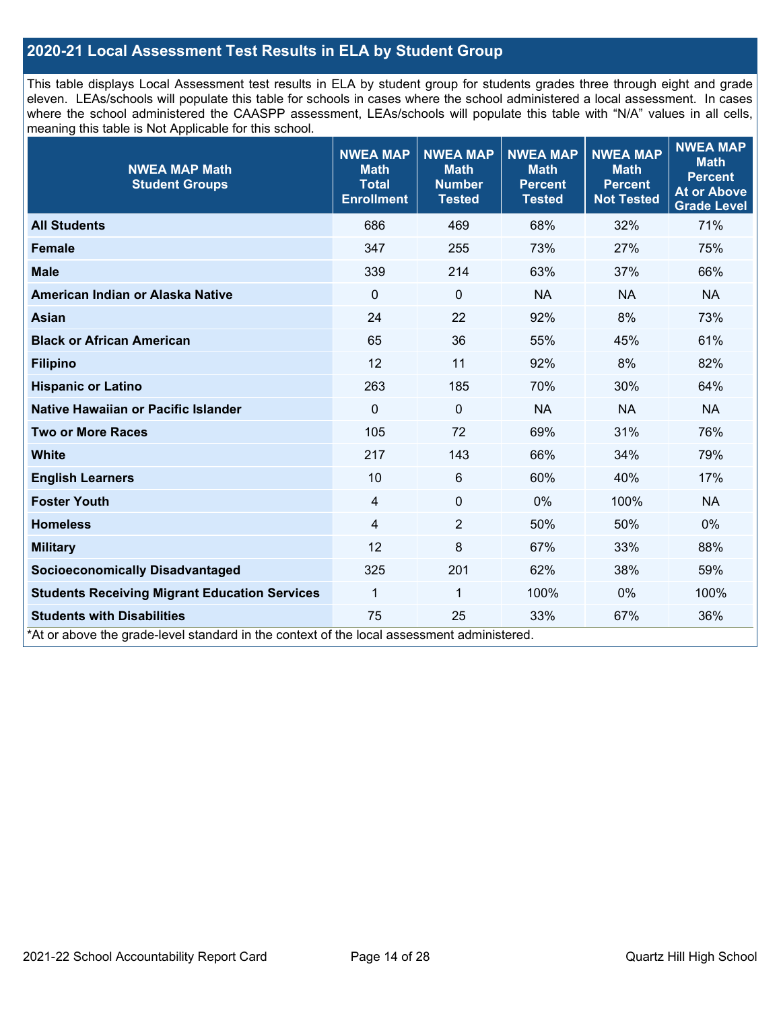### **2020-21 Local Assessment Test Results in ELA by Student Group**

This table displays Local Assessment test results in ELA by student group for students grades three through eight and grade eleven. LEAs/schools will populate this table for schools in cases where the school administered a local assessment. In cases where the school administered the CAASPP assessment, LEAs/schools will populate this table with "N/A" values in all cells, meaning this table is Not Applicable for this school.

| <b>NWEA MAP Math</b><br><b>Student Groups</b>                                              | <b>NWEA MAP</b><br><b>Math</b><br><b>Total</b><br><b>Enrollment</b> | <b>NWEA MAP</b><br><b>Math</b><br><b>Number</b><br><b>Tested</b> | <b>NWEA MAP</b><br><b>Math</b><br><b>Percent</b><br><b>Tested</b> | <b>NWEA MAP</b><br><b>Math</b><br><b>Percent</b><br><b>Not Tested</b> | <b>NWEA MAP</b><br><b>Math</b><br><b>Percent</b><br><b>At or Above</b><br><b>Grade Level</b> |
|--------------------------------------------------------------------------------------------|---------------------------------------------------------------------|------------------------------------------------------------------|-------------------------------------------------------------------|-----------------------------------------------------------------------|----------------------------------------------------------------------------------------------|
| <b>All Students</b>                                                                        | 686                                                                 | 469                                                              | 68%                                                               | 32%                                                                   | 71%                                                                                          |
| <b>Female</b>                                                                              | 347                                                                 | 255                                                              | 73%                                                               | 27%                                                                   | 75%                                                                                          |
| <b>Male</b>                                                                                | 339                                                                 | 214                                                              | 63%                                                               | 37%                                                                   | 66%                                                                                          |
| American Indian or Alaska Native                                                           | $\mathbf 0$                                                         | $\mathbf 0$                                                      | <b>NA</b>                                                         | <b>NA</b>                                                             | <b>NA</b>                                                                                    |
| <b>Asian</b>                                                                               | 24                                                                  | 22                                                               | 92%                                                               | 8%                                                                    | 73%                                                                                          |
| <b>Black or African American</b>                                                           | 65                                                                  | 36                                                               | 55%                                                               | 45%                                                                   | 61%                                                                                          |
| <b>Filipino</b>                                                                            | 12                                                                  | 11                                                               | 92%                                                               | 8%                                                                    | 82%                                                                                          |
| <b>Hispanic or Latino</b>                                                                  | 263                                                                 | 185                                                              | 70%                                                               | 30%                                                                   | 64%                                                                                          |
| <b>Native Hawaiian or Pacific Islander</b>                                                 | $\mathbf 0$                                                         | $\mathbf 0$                                                      | <b>NA</b>                                                         | <b>NA</b>                                                             | <b>NA</b>                                                                                    |
| <b>Two or More Races</b>                                                                   | 105                                                                 | 72                                                               | 69%                                                               | 31%                                                                   | 76%                                                                                          |
| <b>White</b>                                                                               | 217                                                                 | 143                                                              | 66%                                                               | 34%                                                                   | 79%                                                                                          |
| <b>English Learners</b>                                                                    | 10                                                                  | $6\phantom{1}$                                                   | 60%                                                               | 40%                                                                   | 17%                                                                                          |
| <b>Foster Youth</b>                                                                        | 4                                                                   | $\pmb{0}$                                                        | $0\%$                                                             | 100%                                                                  | <b>NA</b>                                                                                    |
| <b>Homeless</b>                                                                            | 4                                                                   | $\overline{2}$                                                   | 50%                                                               | 50%                                                                   | $0\%$                                                                                        |
| <b>Military</b>                                                                            | 12                                                                  | 8                                                                | 67%                                                               | 33%                                                                   | 88%                                                                                          |
| <b>Socioeconomically Disadvantaged</b>                                                     | 325                                                                 | 201                                                              | 62%                                                               | 38%                                                                   | 59%                                                                                          |
| <b>Students Receiving Migrant Education Services</b>                                       | 1                                                                   | 1                                                                | 100%                                                              | 0%                                                                    | 100%                                                                                         |
| <b>Students with Disabilities</b>                                                          | 75                                                                  | 25                                                               | 33%                                                               | 67%                                                                   | 36%                                                                                          |
| *At or above the grade-level standard in the context of the local assessment administered. |                                                                     |                                                                  |                                                                   |                                                                       |                                                                                              |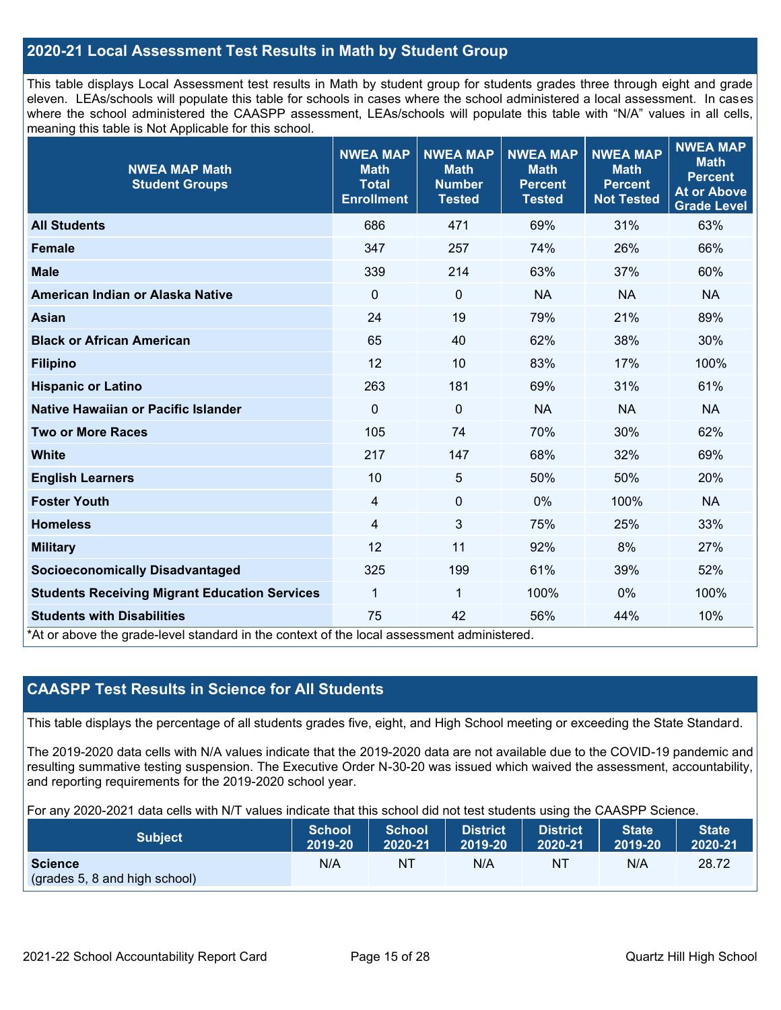### **2020-21 Local Assessment Test Results in Math by Student Group**

This table displays Local Assessment test results in Math by student group for students grades three through eight and grade eleven. LEAs/schools will populate this table for schools in cases where the school administered a local assessment. In cases where the school administered the CAASPP assessment, LEAs/schools will populate this table with "N/A" values in all cells, meaning this table is Not Applicable for this school.

| <b>NWEA MAP Math</b><br><b>Student Groups</b>                                                                                   | <b>NWEA MAP</b><br><b>Math</b><br><b>Total</b><br><b>Enrollment</b> | <b>NWEA MAP</b><br><b>Math</b><br><b>Number</b><br><b>Tested</b> | <b>NWEA MAP</b><br><b>Math</b><br><b>Percent</b><br><b>Tested</b> | <b>NWEA MAP</b><br><b>Math</b><br><b>Percent</b><br><b>Not Tested</b> | <b>NWEA MAP</b><br><b>Math</b><br><b>Percent</b><br><b>At or Above</b><br><b>Grade Level</b> |
|---------------------------------------------------------------------------------------------------------------------------------|---------------------------------------------------------------------|------------------------------------------------------------------|-------------------------------------------------------------------|-----------------------------------------------------------------------|----------------------------------------------------------------------------------------------|
| <b>All Students</b>                                                                                                             | 686                                                                 | 471                                                              | 69%                                                               | 31%                                                                   | 63%                                                                                          |
| <b>Female</b>                                                                                                                   | 347                                                                 | 257                                                              | 74%                                                               | 26%                                                                   | 66%                                                                                          |
| <b>Male</b>                                                                                                                     | 339                                                                 | 214                                                              | 63%                                                               | 37%                                                                   | 60%                                                                                          |
| American Indian or Alaska Native                                                                                                | $\Omega$                                                            | $\mathbf 0$                                                      | <b>NA</b>                                                         | <b>NA</b>                                                             | <b>NA</b>                                                                                    |
| <b>Asian</b>                                                                                                                    | 24                                                                  | 19                                                               | 79%                                                               | 21%                                                                   | 89%                                                                                          |
| <b>Black or African American</b>                                                                                                | 65                                                                  | 40                                                               | 62%                                                               | 38%                                                                   | 30%                                                                                          |
| <b>Filipino</b>                                                                                                                 | 12                                                                  | 10                                                               | 83%                                                               | 17%                                                                   | 100%                                                                                         |
| <b>Hispanic or Latino</b>                                                                                                       | 263                                                                 | 181                                                              | 69%                                                               | 31%                                                                   | 61%                                                                                          |
| Native Hawaiian or Pacific Islander                                                                                             | $\mathbf 0$                                                         | $\mathbf 0$                                                      | <b>NA</b>                                                         | <b>NA</b>                                                             | <b>NA</b>                                                                                    |
| <b>Two or More Races</b>                                                                                                        | 105                                                                 | 74                                                               | 70%                                                               | 30%                                                                   | 62%                                                                                          |
| <b>White</b>                                                                                                                    | 217                                                                 | 147                                                              | 68%                                                               | 32%                                                                   | 69%                                                                                          |
| <b>English Learners</b>                                                                                                         | 10                                                                  | 5                                                                | 50%                                                               | 50%                                                                   | 20%                                                                                          |
| <b>Foster Youth</b>                                                                                                             | $\overline{4}$                                                      | $\mathbf 0$                                                      | 0%                                                                | 100%                                                                  | <b>NA</b>                                                                                    |
| <b>Homeless</b>                                                                                                                 | 4                                                                   | 3                                                                | 75%                                                               | 25%                                                                   | 33%                                                                                          |
| <b>Military</b>                                                                                                                 | 12                                                                  | 11                                                               | 92%                                                               | 8%                                                                    | 27%                                                                                          |
| <b>Socioeconomically Disadvantaged</b>                                                                                          | 325                                                                 | 199                                                              | 61%                                                               | 39%                                                                   | 52%                                                                                          |
| <b>Students Receiving Migrant Education Services</b>                                                                            | 1                                                                   | 1                                                                | 100%                                                              | 0%                                                                    | 100%                                                                                         |
| <b>Students with Disabilities</b><br>*At or above the grade-level standard in the context of the local assessment administered. | 75                                                                  | 42                                                               | 56%                                                               | 44%                                                                   | 10%                                                                                          |

### **CAASPP Test Results in Science for All Students**

This table displays the percentage of all students grades five, eight, and High School meeting or exceeding the State Standard.

The 2019-2020 data cells with N/A values indicate that the 2019-2020 data are not available due to the COVID-19 pandemic and resulting summative testing suspension. The Executive Order N-30-20 was issued which waived the assessment, accountability, and reporting requirements for the 2019-2020 school year.

For any 2020-2021 data cells with N/T values indicate that this school did not test students using the CAASPP Science.

| <b>Subject</b>                                  | <b>School</b> | <b>School</b> | <b>District</b> | District | <b>State</b> | <b>State</b> |
|-------------------------------------------------|---------------|---------------|-----------------|----------|--------------|--------------|
|                                                 | 2019-20       | 2020-21       | 2019-20         | 2020-21  | 2019-20      | 2020-21      |
| <b>Science</b><br>(grades 5, 8 and high school) | N/A           | ΝT            | N/A             | ΝT       | N/A          | 28.72        |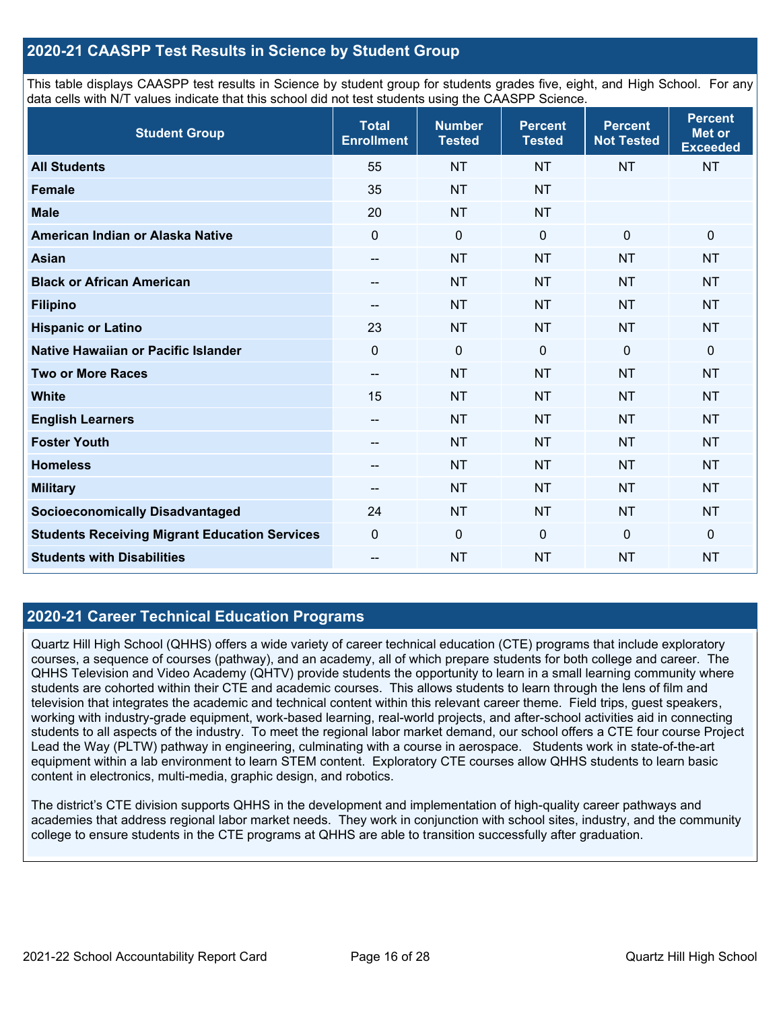### **2020-21 CAASPP Test Results in Science by Student Group**

This table displays CAASPP test results in Science by student group for students grades five, eight, and High School. For any data cells with N/T values indicate that this school did not test students using the CAASPP Science.

| <b>Student Group</b>                                 | <b>Total</b><br><b>Enrollment</b> | <b>Number</b><br><b>Tested</b> | <b>Percent</b><br><b>Tested</b> | <b>Percent</b><br><b>Not Tested</b> | <b>Percent</b><br>Met or<br><b>Exceeded</b> |
|------------------------------------------------------|-----------------------------------|--------------------------------|---------------------------------|-------------------------------------|---------------------------------------------|
| <b>All Students</b>                                  | 55                                | <b>NT</b>                      | <b>NT</b>                       | <b>NT</b>                           | <b>NT</b>                                   |
| <b>Female</b>                                        | 35                                | <b>NT</b>                      | <b>NT</b>                       |                                     |                                             |
| <b>Male</b>                                          | 20                                | <b>NT</b>                      | <b>NT</b>                       |                                     |                                             |
| American Indian or Alaska Native                     | $\mathbf{0}$                      | $\mathbf 0$                    | $\mathbf 0$                     | $\mathbf{0}$                        | $\mathbf 0$                                 |
| <b>Asian</b>                                         | --                                | <b>NT</b>                      | <b>NT</b>                       | <b>NT</b>                           | <b>NT</b>                                   |
| <b>Black or African American</b>                     | --                                | <b>NT</b>                      | <b>NT</b>                       | <b>NT</b>                           | <b>NT</b>                                   |
| <b>Filipino</b>                                      | --                                | <b>NT</b>                      | <b>NT</b>                       | <b>NT</b>                           | <b>NT</b>                                   |
| <b>Hispanic or Latino</b>                            | 23                                | <b>NT</b>                      | <b>NT</b>                       | <b>NT</b>                           | <b>NT</b>                                   |
| Native Hawaiian or Pacific Islander                  | $\mathbf 0$                       | $\mathbf 0$                    | $\mathbf{0}$                    | $\mathbf 0$                         | 0                                           |
| <b>Two or More Races</b>                             | $\qquad \qquad -$                 | <b>NT</b>                      | <b>NT</b>                       | <b>NT</b>                           | <b>NT</b>                                   |
| <b>White</b>                                         | 15                                | <b>NT</b>                      | <b>NT</b>                       | <b>NT</b>                           | <b>NT</b>                                   |
| <b>English Learners</b>                              | --                                | <b>NT</b>                      | <b>NT</b>                       | <b>NT</b>                           | <b>NT</b>                                   |
| <b>Foster Youth</b>                                  | --                                | <b>NT</b>                      | <b>NT</b>                       | <b>NT</b>                           | <b>NT</b>                                   |
| <b>Homeless</b>                                      | --                                | <b>NT</b>                      | <b>NT</b>                       | <b>NT</b>                           | <b>NT</b>                                   |
| <b>Military</b>                                      | --                                | <b>NT</b>                      | <b>NT</b>                       | <b>NT</b>                           | <b>NT</b>                                   |
| <b>Socioeconomically Disadvantaged</b>               | 24                                | <b>NT</b>                      | <b>NT</b>                       | <b>NT</b>                           | <b>NT</b>                                   |
| <b>Students Receiving Migrant Education Services</b> | $\mathbf 0$                       | $\mathbf 0$                    | $\mathbf{0}$                    | $\mathbf 0$                         | $\mathbf 0$                                 |
| <b>Students with Disabilities</b>                    | --                                | <b>NT</b>                      | <b>NT</b>                       | <b>NT</b>                           | <b>NT</b>                                   |

### **2020-21 Career Technical Education Programs**

Quartz Hill High School (QHHS) offers a wide variety of career technical education (CTE) programs that include exploratory courses, a sequence of courses (pathway), and an academy, all of which prepare students for both college and career. The QHHS Television and Video Academy (QHTV) provide students the opportunity to learn in a small learning community where students are cohorted within their CTE and academic courses. This allows students to learn through the lens of film and television that integrates the academic and technical content within this relevant career theme. Field trips, guest speakers, working with industry-grade equipment, work-based learning, real-world projects, and after-school activities aid in connecting students to all aspects of the industry. To meet the regional labor market demand, our school offers a CTE four course Project Lead the Way (PLTW) pathway in engineering, culminating with a course in aerospace. Students work in state-of-the-art equipment within a lab environment to learn STEM content. Exploratory CTE courses allow QHHS students to learn basic content in electronics, multi-media, graphic design, and robotics.

The district's CTE division supports QHHS in the development and implementation of high-quality career pathways and academies that address regional labor market needs. They work in conjunction with school sites, industry, and the community college to ensure students in the CTE programs at QHHS are able to transition successfully after graduation.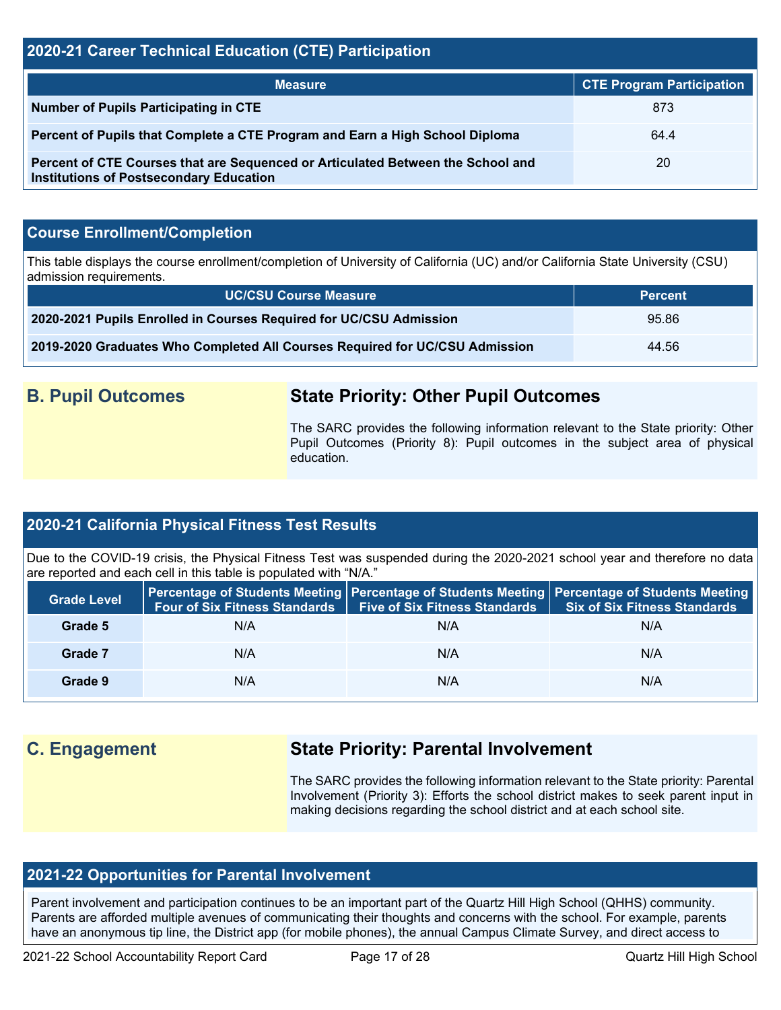### **2020-21 Career Technical Education (CTE) Participation**

| <b>Measure</b>                                                                                                                    | <b>CTE Program Participation</b> |
|-----------------------------------------------------------------------------------------------------------------------------------|----------------------------------|
| Number of Pupils Participating in CTE                                                                                             | 873                              |
| Percent of Pupils that Complete a CTE Program and Earn a High School Diploma                                                      | 64.4                             |
| Percent of CTE Courses that are Sequenced or Articulated Between the School and<br><b>Institutions of Postsecondary Education</b> | 20                               |

### **Course Enrollment/Completion**

This table displays the course enrollment/completion of University of California (UC) and/or California State University (CSU) admission requirements.

| <b>UC/CSU Course Measure</b>                                                | <b>Percent</b> |
|-----------------------------------------------------------------------------|----------------|
| 2020-2021 Pupils Enrolled in Courses Required for UC/CSU Admission          | 95.86          |
| 2019-2020 Graduates Who Completed All Courses Required for UC/CSU Admission | 44.56          |

### **B. Pupil Outcomes State Priority: Other Pupil Outcomes**

The SARC provides the following information relevant to the State priority: Other Pupil Outcomes (Priority 8): Pupil outcomes in the subject area of physical education.

### **2020-21 California Physical Fitness Test Results**

Due to the COVID-19 crisis, the Physical Fitness Test was suspended during the 2020-2021 school year and therefore no data are reported and each cell in this table is populated with "N/A."

| <b>Grade Level</b> | <b>Four of Six Fitness Standards</b> | <b>Five of Six Fitness Standards</b> | <b>Percentage of Students Meeting   Percentage of Students Meeting   Percentage of Students Meeting  </b><br><b>Six of Six Fitness Standards</b> |
|--------------------|--------------------------------------|--------------------------------------|--------------------------------------------------------------------------------------------------------------------------------------------------|
| Grade 5            | N/A                                  | N/A                                  | N/A                                                                                                                                              |
| Grade 7            | N/A                                  | N/A                                  | N/A                                                                                                                                              |
| Grade 9            | N/A                                  | N/A                                  | N/A                                                                                                                                              |

## **C. Engagement State Priority: Parental Involvement**

The SARC provides the following information relevant to the State priority: Parental Involvement (Priority 3): Efforts the school district makes to seek parent input in making decisions regarding the school district and at each school site.

### **2021-22 Opportunities for Parental Involvement**

Parent involvement and participation continues to be an important part of the Quartz Hill High School (QHHS) community. Parents are afforded multiple avenues of communicating their thoughts and concerns with the school. For example, parents have an anonymous tip line, the District app (for mobile phones), the annual Campus Climate Survey, and direct access to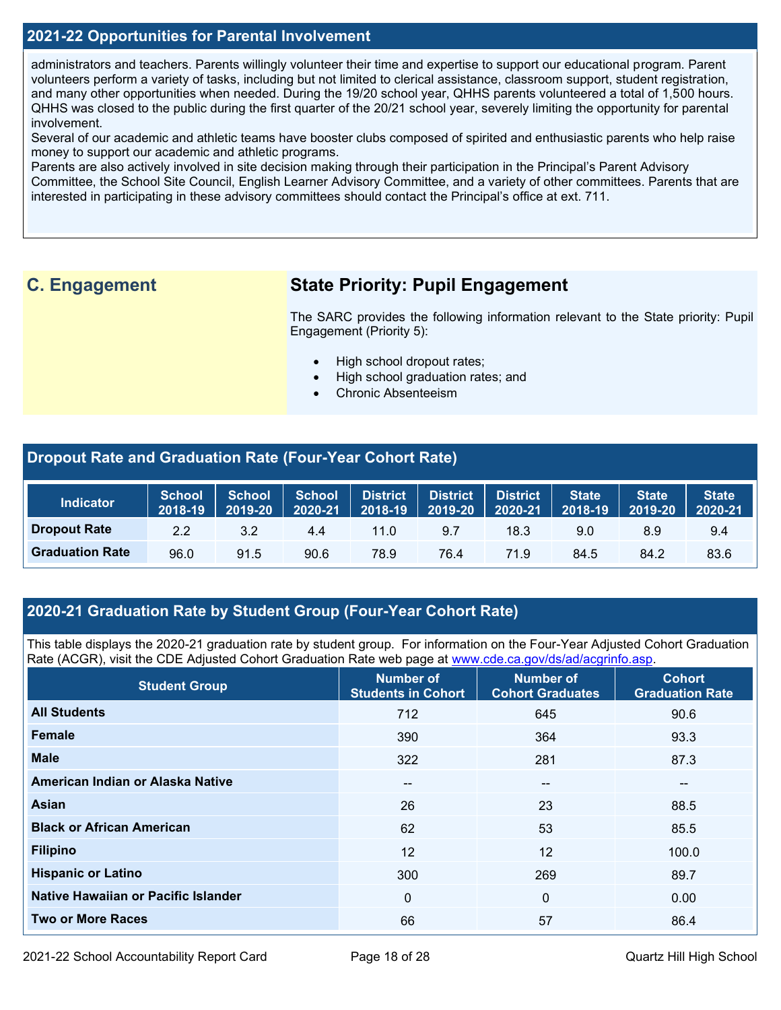### **2021-22 Opportunities for Parental Involvement**

administrators and teachers. Parents willingly volunteer their time and expertise to support our educational program. Parent volunteers perform a variety of tasks, including but not limited to clerical assistance, classroom support, student registration, and many other opportunities when needed. During the 19/20 school year, QHHS parents volunteered a total of 1,500 hours. QHHS was closed to the public during the first quarter of the 20/21 school year, severely limiting the opportunity for parental involvement.

Several of our academic and athletic teams have booster clubs composed of spirited and enthusiastic parents who help raise money to support our academic and athletic programs.

Parents are also actively involved in site decision making through their participation in the Principal's Parent Advisory Committee, the School Site Council, English Learner Advisory Committee, and a variety of other committees. Parents that are interested in participating in these advisory committees should contact the Principal's office at ext. 711.

### **C. Engagement State Priority: Pupil Engagement**

The SARC provides the following information relevant to the State priority: Pupil Engagement (Priority 5):

- High school dropout rates;
- High school graduation rates; and
- Chronic Absenteeism

### **Dropout Rate and Graduation Rate (Four-Year Cohort Rate)**

| <b>Indicator</b>       | <b>School</b><br>2018-19 | <b>School</b><br>2019-20 | <b>School</b><br>2020-21 | District<br>2018-19 | <b>District</b><br>2019-20 | <b>District</b><br>2020-21 | State <sup>1</sup><br>2018-19 | <b>State</b><br>2019-20 | <b>State</b><br>2020-21 |
|------------------------|--------------------------|--------------------------|--------------------------|---------------------|----------------------------|----------------------------|-------------------------------|-------------------------|-------------------------|
| <b>Dropout Rate</b>    | 2.2                      | 3.2                      | 4.4                      | 11.0                | 9.7                        | 18.3                       | 9.0                           | 8.9                     | 9.4                     |
| <b>Graduation Rate</b> | 96.0                     | 91.5                     | 90.6                     | 78.9                | 76.4                       | 71.9                       | 84.5                          | 84.2                    | 83.6                    |

### **2020-21 Graduation Rate by Student Group (Four-Year Cohort Rate)**

This table displays the 2020-21 graduation rate by student group. For information on the Four-Year Adjusted Cohort Graduation Rate (ACGR), visit the CDE Adjusted Cohort Graduation Rate web page at [www.cde.ca.gov/ds/ad/acgrinfo.asp.](http://www.cde.ca.gov/ds/ad/acgrinfo.asp)

| <b>Student Group</b>                | <b>Number of</b><br><b>Students in Cohort</b> | <b>Number of</b><br><b>Cohort Graduates</b> | <b>Cohort</b><br><b>Graduation Rate</b> |
|-------------------------------------|-----------------------------------------------|---------------------------------------------|-----------------------------------------|
| <b>All Students</b>                 | 712                                           | 645                                         | 90.6                                    |
| <b>Female</b>                       | 390                                           | 364                                         | 93.3                                    |
| <b>Male</b>                         | 322                                           | 281                                         | 87.3                                    |
| American Indian or Alaska Native    | $\overline{\phantom{m}}$                      | $\overline{\phantom{a}}$                    | $\qquad \qquad \cdots$                  |
| <b>Asian</b>                        | 26                                            | 23                                          | 88.5                                    |
| <b>Black or African American</b>    | 62                                            | 53                                          | 85.5                                    |
| <b>Filipino</b>                     | 12                                            | 12                                          | 100.0                                   |
| <b>Hispanic or Latino</b>           | 300                                           | 269                                         | 89.7                                    |
| Native Hawaiian or Pacific Islander | 0                                             | 0                                           | 0.00                                    |
| <b>Two or More Races</b>            | 66                                            | 57                                          | 86.4                                    |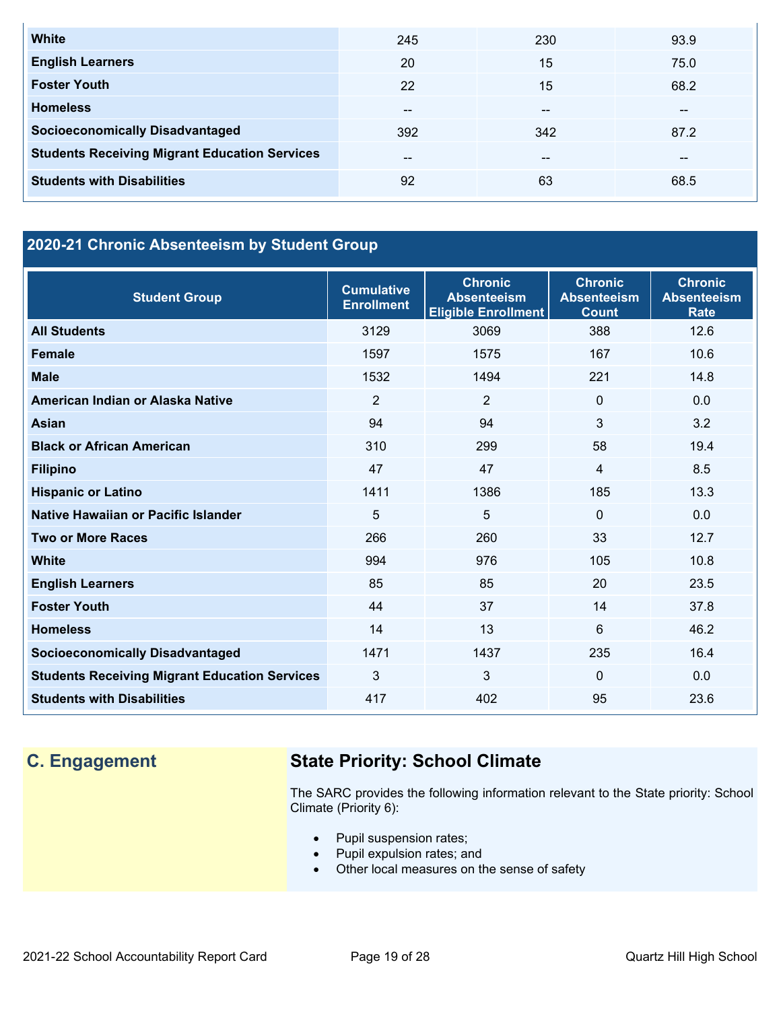| <b>White</b>                                         | 245           | 230   | 93.9  |
|------------------------------------------------------|---------------|-------|-------|
| <b>English Learners</b>                              | 20            | 15    | 75.0  |
| <b>Foster Youth</b>                                  | 22            | 15    | 68.2  |
| <b>Homeless</b>                                      | $\sim$ $\sim$ | $- -$ | $- -$ |
| <b>Socioeconomically Disadvantaged</b>               | 392           | 342   | 87.2  |
| <b>Students Receiving Migrant Education Services</b> | $- -$         | $- -$ | --    |
| <b>Students with Disabilities</b>                    | 92            | 63    | 68.5  |

## **2020-21 Chronic Absenteeism by Student Group**

| <b>Student Group</b>                                 | <b>Cumulative</b><br><b>Enrollment</b> | <b>Chronic</b><br><b>Absenteeism</b><br><b>Eligible Enrollment</b> | <b>Chronic</b><br><b>Absenteeism</b><br><b>Count</b> | <b>Chronic</b><br><b>Absenteeism</b><br><b>Rate</b> |
|------------------------------------------------------|----------------------------------------|--------------------------------------------------------------------|------------------------------------------------------|-----------------------------------------------------|
| <b>All Students</b>                                  | 3129                                   | 3069                                                               | 388                                                  | 12.6                                                |
| <b>Female</b>                                        | 1597                                   | 1575                                                               | 167                                                  | 10.6                                                |
| <b>Male</b>                                          | 1532                                   | 1494                                                               | 221                                                  | 14.8                                                |
| American Indian or Alaska Native                     | $\overline{2}$                         | $\overline{2}$                                                     | $\Omega$                                             | 0.0                                                 |
| Asian                                                | 94                                     | 94                                                                 | 3                                                    | 3.2                                                 |
| <b>Black or African American</b>                     | 310                                    | 299                                                                | 58                                                   | 19.4                                                |
| <b>Filipino</b>                                      | 47                                     | 47                                                                 | 4                                                    | 8.5                                                 |
| <b>Hispanic or Latino</b>                            | 1411                                   | 1386                                                               | 185                                                  | 13.3                                                |
| Native Hawaiian or Pacific Islander                  | 5                                      | 5                                                                  | 0                                                    | 0.0                                                 |
| <b>Two or More Races</b>                             | 266                                    | 260                                                                | 33                                                   | 12.7                                                |
| <b>White</b>                                         | 994                                    | 976                                                                | 105                                                  | 10.8                                                |
| <b>English Learners</b>                              | 85                                     | 85                                                                 | 20                                                   | 23.5                                                |
| <b>Foster Youth</b>                                  | 44                                     | 37                                                                 | 14                                                   | 37.8                                                |
| <b>Homeless</b>                                      | 14                                     | 13                                                                 | 6                                                    | 46.2                                                |
| <b>Socioeconomically Disadvantaged</b>               | 1471                                   | 1437                                                               | 235                                                  | 16.4                                                |
| <b>Students Receiving Migrant Education Services</b> | 3                                      | 3                                                                  | $\Omega$                                             | 0.0                                                 |
| <b>Students with Disabilities</b>                    | 417                                    | 402                                                                | 95                                                   | 23.6                                                |

# **C. Engagement State Priority: School Climate**

The SARC provides the following information relevant to the State priority: School Climate (Priority 6):

- Pupil suspension rates;
- Pupil expulsion rates; and
- Other local measures on the sense of safety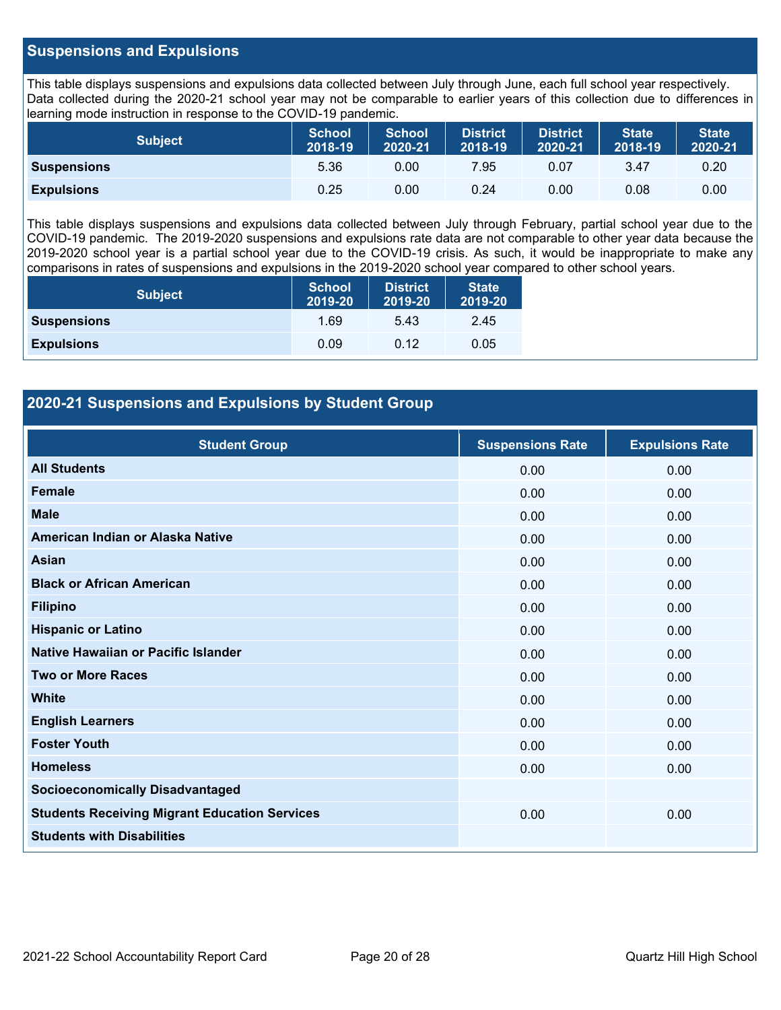### **Suspensions and Expulsions**

This table displays suspensions and expulsions data collected between July through June, each full school year respectively. Data collected during the 2020-21 school year may not be comparable to earlier years of this collection due to differences in learning mode instruction in response to the COVID-19 pandemic.

| <b>Subject</b>     | <b>School</b><br>2018-19 | <b>School</b><br>2020-21 | <b>District</b><br>2018-19 | <b>District</b><br>2020-21 | <b>State</b><br>2018-19 | <b>State</b><br>2020-21 |
|--------------------|--------------------------|--------------------------|----------------------------|----------------------------|-------------------------|-------------------------|
| <b>Suspensions</b> | 5.36                     | 0.00                     | 7.95                       | 0.07                       | 3.47                    | 0.20                    |
| <b>Expulsions</b>  | 0.25                     | 0.00                     | 0.24                       | 0.00                       | 0.08                    | 0.00                    |

This table displays suspensions and expulsions data collected between July through February, partial school year due to the COVID-19 pandemic. The 2019-2020 suspensions and expulsions rate data are not comparable to other year data because the 2019-2020 school year is a partial school year due to the COVID-19 crisis. As such, it would be inappropriate to make any comparisons in rates of suspensions and expulsions in the 2019-2020 school year compared to other school years.

| <b>Subject</b>     | School<br>2019-20 | <b>District</b><br>2019-20 | <b>State</b><br>2019-20 |
|--------------------|-------------------|----------------------------|-------------------------|
| <b>Suspensions</b> | 1.69              | 5.43                       | 2.45                    |
| <b>Expulsions</b>  | 0.09              | 0.12                       | 0.05                    |

### **2020-21 Suspensions and Expulsions by Student Group**

| <b>Student Group</b>                                 | <b>Suspensions Rate</b> | <b>Expulsions Rate</b> |
|------------------------------------------------------|-------------------------|------------------------|
| <b>All Students</b>                                  | 0.00                    | 0.00                   |
| <b>Female</b>                                        | 0.00                    | 0.00                   |
| <b>Male</b>                                          | 0.00                    | 0.00                   |
| American Indian or Alaska Native                     | 0.00                    | 0.00                   |
| Asian                                                | 0.00                    | 0.00                   |
| <b>Black or African American</b>                     | 0.00                    | 0.00                   |
| <b>Filipino</b>                                      | 0.00                    | 0.00                   |
| <b>Hispanic or Latino</b>                            | 0.00                    | 0.00                   |
| Native Hawaiian or Pacific Islander                  | 0.00                    | 0.00                   |
| <b>Two or More Races</b>                             | 0.00                    | 0.00                   |
| <b>White</b>                                         | 0.00                    | 0.00                   |
| <b>English Learners</b>                              | 0.00                    | 0.00                   |
| <b>Foster Youth</b>                                  | 0.00                    | 0.00                   |
| <b>Homeless</b>                                      | 0.00                    | 0.00                   |
| <b>Socioeconomically Disadvantaged</b>               |                         |                        |
| <b>Students Receiving Migrant Education Services</b> | 0.00                    | 0.00                   |
| <b>Students with Disabilities</b>                    |                         |                        |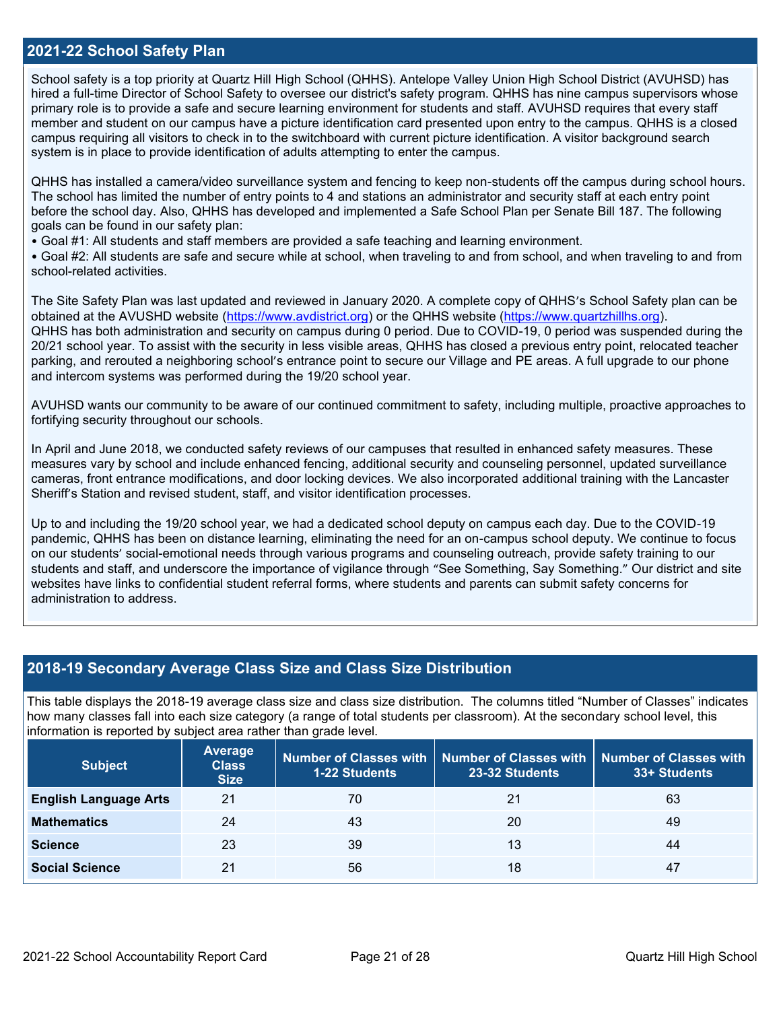### **2021-22 School Safety Plan**

School safety is a top priority at Quartz Hill High School (QHHS). Antelope Valley Union High School District (AVUHSD) has hired a full-time Director of School Safety to oversee our district's safety program. QHHS has nine campus supervisors whose primary role is to provide a safe and secure learning environment for students and staff. AVUHSD requires that every staff member and student on our campus have a picture identification card presented upon entry to the campus. QHHS is a closed campus requiring all visitors to check in to the switchboard with current picture identification. A visitor background search system is in place to provide identification of adults attempting to enter the campus.

QHHS has installed a camera/video surveillance system and fencing to keep non-students off the campus during school hours. The school has limited the number of entry points to 4 and stations an administrator and security staff at each entry point before the school day. Also, QHHS has developed and implemented a Safe School Plan per Senate Bill 187. The following goals can be found in our safety plan:

• Goal #1: All students and staff members are provided a safe teaching and learning environment.

• Goal #2: All students are safe and secure while at school, when traveling to and from school, and when traveling to and from school-related activities.

The Site Safety Plan was last updated and reviewed in January 2020. A complete copy of QHHS's School Safety plan can be obtained at the AVUSHD website [\(https://www.avdistrict.org\)](https://www.avdistrict.org/) or the QHHS website [\(https://www.quartzhillhs.org\)](https://www.quartzhillhs.org/). QHHS has both administration and security on campus during 0 period. Due to COVID-19, 0 period was suspended during the 20/21 school year. To assist with the security in less visible areas, QHHS has closed a previous entry point, relocated teacher parking, and rerouted a neighboring school's entrance point to secure our Village and PE areas. A full upgrade to our phone and intercom systems was performed during the 19/20 school year.

AVUHSD wants our community to be aware of our continued commitment to safety, including multiple, proactive approaches to fortifying security throughout our schools.

In April and June 2018, we conducted safety reviews of our campuses that resulted in enhanced safety measures. These measures vary by school and include enhanced fencing, additional security and counseling personnel, updated surveillance cameras, front entrance modifications, and door locking devices. We also incorporated additional training with the Lancaster Sheriff's Station and revised student, staff, and visitor identification processes.

Up to and including the 19/20 school year, we had a dedicated school deputy on campus each day. Due to the COVID-19 pandemic, QHHS has been on distance learning, eliminating the need for an on-campus school deputy. We continue to focus on our students' social-emotional needs through various programs and counseling outreach, provide safety training to our students and staff, and underscore the importance of vigilance through "See Something, Say Something." Our district and site websites have links to confidential student referral forms, where students and parents can submit safety concerns for administration to address.

### **2018-19 Secondary Average Class Size and Class Size Distribution**

This table displays the 2018-19 average class size and class size distribution. The columns titled "Number of Classes" indicates how many classes fall into each size category (a range of total students per classroom). At the secondary school level, this information is reported by subject area rather than grade level.

| <b>Subject</b>               | Average<br><b>Class</b><br><b>Size</b> | <b>1-22 Students</b> | Number of Classes with   Number of Classes with   Number of Classes with<br>23-32 Students | 33+ Students |
|------------------------------|----------------------------------------|----------------------|--------------------------------------------------------------------------------------------|--------------|
| <b>English Language Arts</b> | 21                                     | 70                   | 21                                                                                         | 63           |
| <b>Mathematics</b>           | 24                                     | 43                   | 20                                                                                         | 49           |
| <b>Science</b>               | 23                                     | 39                   | 13                                                                                         | 44           |
| <b>Social Science</b>        | 21                                     | 56                   | 18                                                                                         | 47           |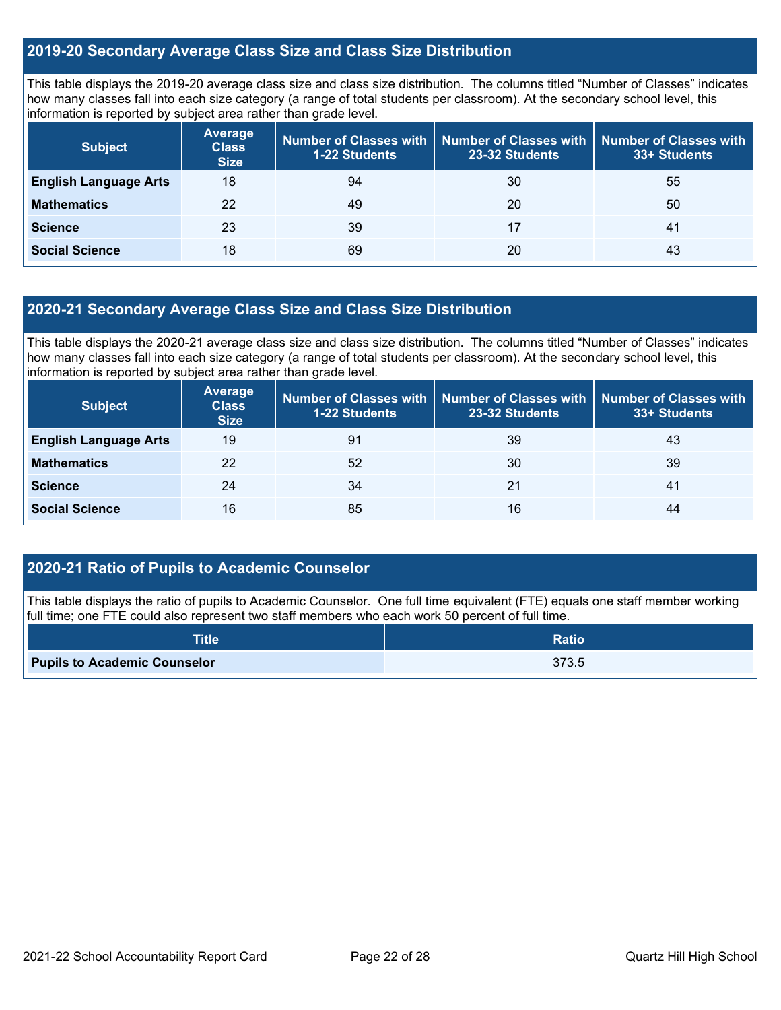### **2019-20 Secondary Average Class Size and Class Size Distribution**

This table displays the 2019-20 average class size and class size distribution. The columns titled "Number of Classes" indicates how many classes fall into each size category (a range of total students per classroom). At the secondary school level, this information is reported by subject area rather than grade level.

| <b>Subject</b>               | <b>Average</b><br><b>Class</b><br><b>Size</b> | Number of Classes with<br><b>1-22 Students</b> | <b>Number of Classes with</b><br>23-32 Students | <b>Number of Classes with</b><br>33+ Students |
|------------------------------|-----------------------------------------------|------------------------------------------------|-------------------------------------------------|-----------------------------------------------|
| <b>English Language Arts</b> | 18                                            | 94                                             | 30                                              | 55                                            |
| <b>Mathematics</b>           | 22                                            | 49                                             | 20                                              | 50                                            |
| <b>Science</b>               | 23                                            | 39                                             | 17                                              | 41                                            |
| <b>Social Science</b>        | 18                                            | 69                                             | 20                                              | 43                                            |

### **2020-21 Secondary Average Class Size and Class Size Distribution**

This table displays the 2020-21 average class size and class size distribution. The columns titled "Number of Classes" indicates how many classes fall into each size category (a range of total students per classroom). At the secondary school level, this information is reported by subject area rather than grade level.

| <b>Subject</b>               | Average<br><b>Class</b><br><b>Size</b> | Number of Classes with  <br><b>1-22 Students</b> | 23-32 Students | Number of Classes with   Number of Classes with<br>33+ Students |
|------------------------------|----------------------------------------|--------------------------------------------------|----------------|-----------------------------------------------------------------|
| <b>English Language Arts</b> | 19                                     | 91                                               | 39             | 43                                                              |
| <b>Mathematics</b>           | 22                                     | 52                                               | 30             | 39                                                              |
| <b>Science</b>               | 24                                     | 34                                               | 21             | 41                                                              |
| <b>Social Science</b>        | 16                                     | 85                                               | 16             | 44                                                              |

### **2020-21 Ratio of Pupils to Academic Counselor**

This table displays the ratio of pupils to Academic Counselor. One full time equivalent (FTE) equals one staff member working full time; one FTE could also represent two staff members who each work 50 percent of full time.

| <b>Title</b>                        | Ratio |
|-------------------------------------|-------|
| <b>Pupils to Academic Counselor</b> | 373.5 |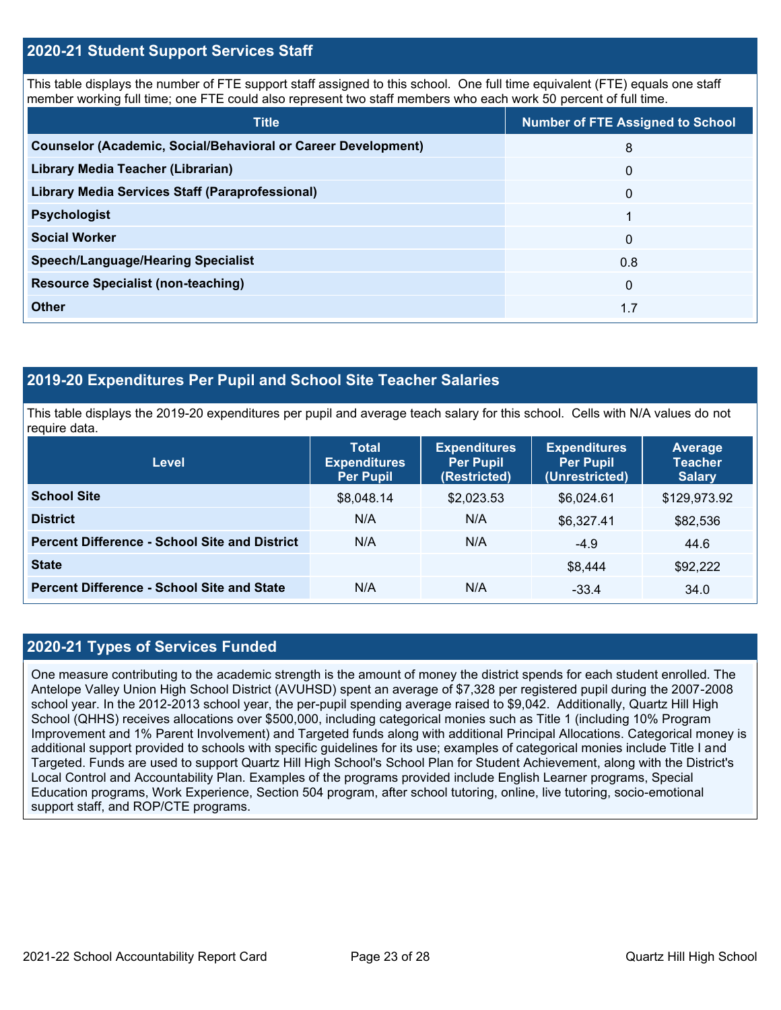### **2020-21 Student Support Services Staff**

This table displays the number of FTE support staff assigned to this school. One full time equivalent (FTE) equals one staff member working full time; one FTE could also represent two staff members who each work 50 percent of full time.

| <b>Title</b>                                                         | <b>Number of FTE Assigned to School</b> |
|----------------------------------------------------------------------|-----------------------------------------|
| <b>Counselor (Academic, Social/Behavioral or Career Development)</b> | 8                                       |
| Library Media Teacher (Librarian)                                    | $\mathbf{0}$                            |
| Library Media Services Staff (Paraprofessional)                      | $\mathbf{0}$                            |
| <b>Psychologist</b>                                                  |                                         |
| <b>Social Worker</b>                                                 | $\mathbf{0}$                            |
| <b>Speech/Language/Hearing Specialist</b>                            | 0.8                                     |
| <b>Resource Specialist (non-teaching)</b>                            | $\mathbf{0}$                            |
| <b>Other</b>                                                         | 1.7                                     |

### **2019-20 Expenditures Per Pupil and School Site Teacher Salaries**

This table displays the 2019-20 expenditures per pupil and average teach salary for this school. Cells with N/A values do not require data.

| <b>Level</b>                                         | <b>Total</b><br><b>Expenditures</b><br><b>Per Pupil</b> | <b>Expenditures</b><br><b>Per Pupil</b><br>(Restricted) | <b>Expenditures</b><br><b>Per Pupil</b><br>(Unrestricted) | Average<br><b>Teacher</b><br><b>Salary</b> |
|------------------------------------------------------|---------------------------------------------------------|---------------------------------------------------------|-----------------------------------------------------------|--------------------------------------------|
| <b>School Site</b>                                   | \$8,048.14                                              | \$2,023.53                                              | \$6,024.61                                                | \$129,973.92                               |
| <b>District</b>                                      | N/A                                                     | N/A                                                     | \$6,327.41                                                | \$82,536                                   |
| <b>Percent Difference - School Site and District</b> | N/A                                                     | N/A                                                     | $-4.9$                                                    | 44.6                                       |
| <b>State</b>                                         |                                                         |                                                         | \$8,444                                                   | \$92,222                                   |
| <b>Percent Difference - School Site and State</b>    | N/A                                                     | N/A                                                     | $-33.4$                                                   | 34.0                                       |

### **2020-21 Types of Services Funded**

One measure contributing to the academic strength is the amount of money the district spends for each student enrolled. The Antelope Valley Union High School District (AVUHSD) spent an average of \$7,328 per registered pupil during the 2007-2008 school year. In the 2012-2013 school year, the per-pupil spending average raised to \$9,042. Additionally, Quartz Hill High School (QHHS) receives allocations over \$500,000, including categorical monies such as Title 1 (including 10% Program Improvement and 1% Parent Involvement) and Targeted funds along with additional Principal Allocations. Categorical money is additional support provided to schools with specific guidelines for its use; examples of categorical monies include Title I and Targeted. Funds are used to support Quartz Hill High School's School Plan for Student Achievement, along with the District's Local Control and Accountability Plan. Examples of the programs provided include English Learner programs, Special Education programs, Work Experience, Section 504 program, after school tutoring, online, live tutoring, socio-emotional support staff, and ROP/CTE programs.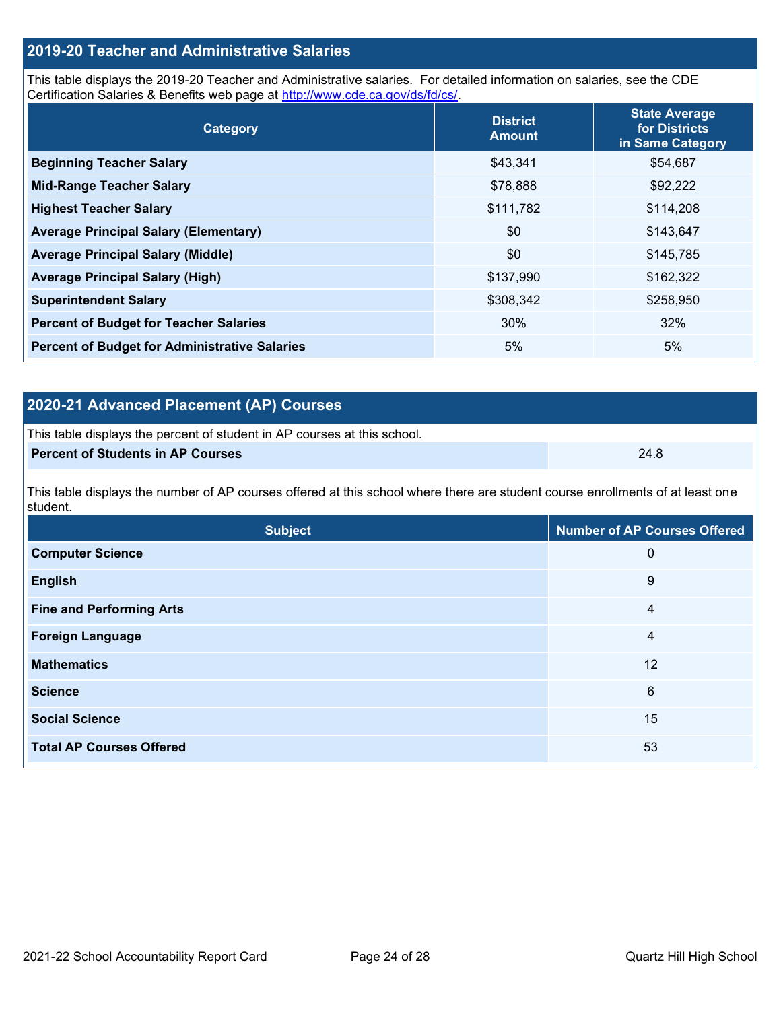### **2019-20 Teacher and Administrative Salaries**

This table displays the 2019-20 Teacher and Administrative salaries. For detailed information on salaries, see the CDE Certification Salaries & Benefits web page at [http://www.cde.ca.gov/ds/fd/cs/.](http://www.cde.ca.gov/ds/fd/cs/)

| Category                                             | <b>District</b><br><b>Amount</b> | <b>State Average</b><br>for Districts<br>in Same Category |
|------------------------------------------------------|----------------------------------|-----------------------------------------------------------|
| <b>Beginning Teacher Salary</b>                      | \$43,341                         | \$54,687                                                  |
| <b>Mid-Range Teacher Salary</b>                      | \$78,888                         | \$92,222                                                  |
| <b>Highest Teacher Salary</b>                        | \$111,782                        | \$114,208                                                 |
| <b>Average Principal Salary (Elementary)</b>         | \$0                              | \$143,647                                                 |
| <b>Average Principal Salary (Middle)</b>             | \$0                              | \$145,785                                                 |
| <b>Average Principal Salary (High)</b>               | \$137,990                        | \$162,322                                                 |
| <b>Superintendent Salary</b>                         | \$308,342                        | \$258,950                                                 |
| <b>Percent of Budget for Teacher Salaries</b>        | 30%                              | 32%                                                       |
| <b>Percent of Budget for Administrative Salaries</b> | 5%                               | 5%                                                        |

### **2020-21 Advanced Placement (AP) Courses**

| This table displays the percent of student in AP courses at this school. |      |
|--------------------------------------------------------------------------|------|
| Percent of Students in AP Courses                                        | 24.8 |

This table displays the number of AP courses offered at this school where there are student course enrollments of at least one student.

| <b>Subject</b>                  | <b>Number of AP Courses Offered</b> |
|---------------------------------|-------------------------------------|
| <b>Computer Science</b>         | 0                                   |
| <b>English</b>                  | 9                                   |
| <b>Fine and Performing Arts</b> | 4                                   |
| <b>Foreign Language</b>         | 4                                   |
| <b>Mathematics</b>              | 12                                  |
| <b>Science</b>                  | 6                                   |
| <b>Social Science</b>           | 15                                  |
| <b>Total AP Courses Offered</b> | 53                                  |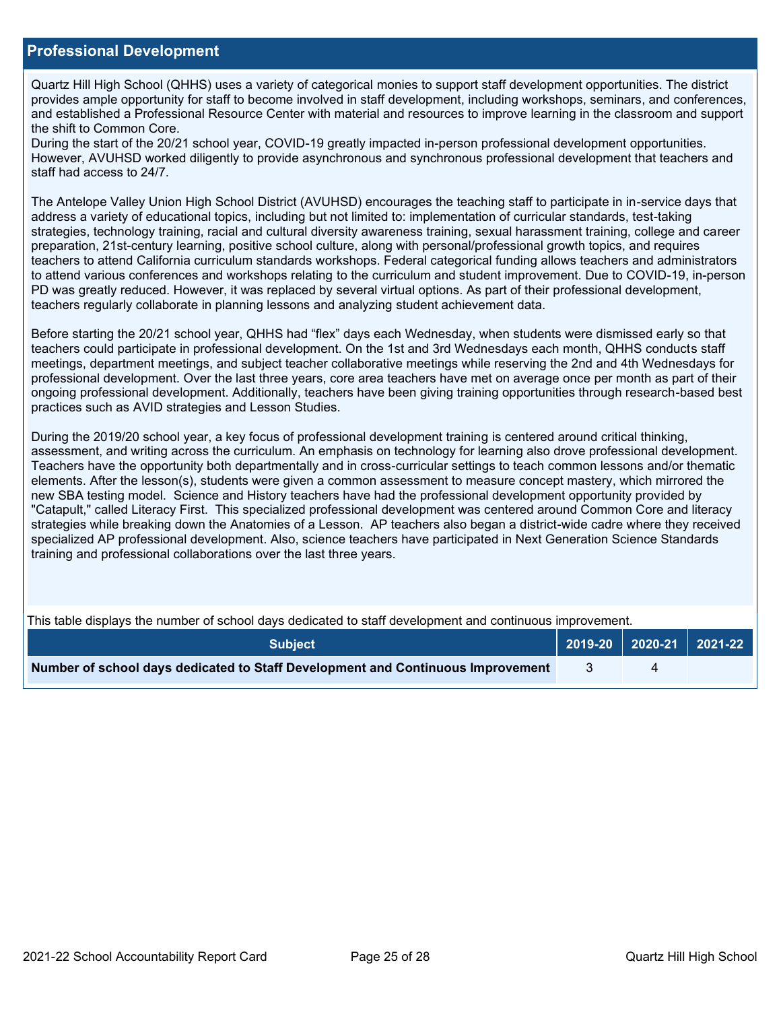### **Professional Development**

Quartz Hill High School (QHHS) uses a variety of categorical monies to support staff development opportunities. The district provides ample opportunity for staff to become involved in staff development, including workshops, seminars, and conferences, and established a Professional Resource Center with material and resources to improve learning in the classroom and support the shift to Common Core.

During the start of the 20/21 school year, COVID-19 greatly impacted in-person professional development opportunities. However, AVUHSD worked diligently to provide asynchronous and synchronous professional development that teachers and staff had access to 24/7.

The Antelope Valley Union High School District (AVUHSD) encourages the teaching staff to participate in in-service days that address a variety of educational topics, including but not limited to: implementation of curricular standards, test-taking strategies, technology training, racial and cultural diversity awareness training, sexual harassment training, college and career preparation, 21st-century learning, positive school culture, along with personal/professional growth topics, and requires teachers to attend California curriculum standards workshops. Federal categorical funding allows teachers and administrators to attend various conferences and workshops relating to the curriculum and student improvement. Due to COVID-19, in-person PD was greatly reduced. However, it was replaced by several virtual options. As part of their professional development, teachers regularly collaborate in planning lessons and analyzing student achievement data.

Before starting the 20/21 school year, QHHS had "flex" days each Wednesday, when students were dismissed early so that teachers could participate in professional development. On the 1st and 3rd Wednesdays each month, QHHS conducts staff meetings, department meetings, and subject teacher collaborative meetings while reserving the 2nd and 4th Wednesdays for professional development. Over the last three years, core area teachers have met on average once per month as part of their ongoing professional development. Additionally, teachers have been giving training opportunities through research-based best practices such as AVID strategies and Lesson Studies.

During the 2019/20 school year, a key focus of professional development training is centered around critical thinking, assessment, and writing across the curriculum. An emphasis on technology for learning also drove professional development. Teachers have the opportunity both departmentally and in cross-curricular settings to teach common lessons and/or thematic elements. After the lesson(s), students were given a common assessment to measure concept mastery, which mirrored the new SBA testing model. Science and History teachers have had the professional development opportunity provided by "Catapult," called Literacy First. This specialized professional development was centered around Common Core and literacy strategies while breaking down the Anatomies of a Lesson. AP teachers also began a district-wide cadre where they received specialized AP professional development. Also, science teachers have participated in Next Generation Science Standards training and professional collaborations over the last three years.

This table displays the number of school days dedicated to staff development and continuous improvement.

| <b>Subiect</b>                                                                  |  | 2019-20   2020-21   2021-22 |
|---------------------------------------------------------------------------------|--|-----------------------------|
| Number of school days dedicated to Staff Development and Continuous Improvement |  |                             |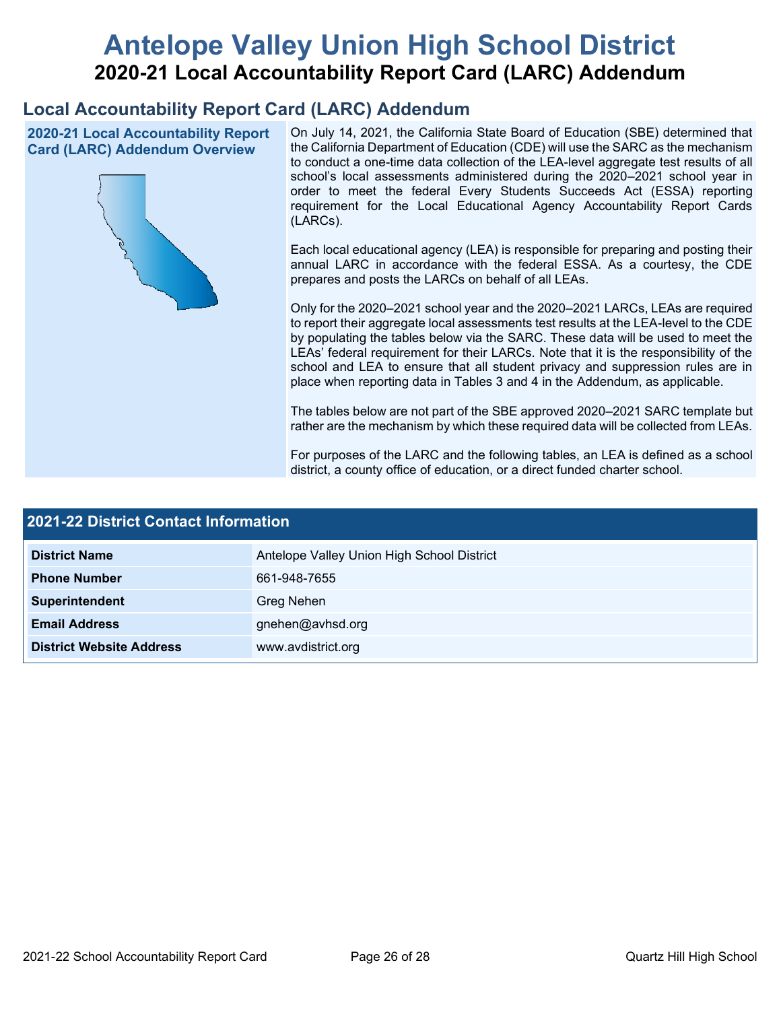# **Antelope Valley Union High School District 2020-21 Local Accountability Report Card (LARC) Addendum**

## **Local Accountability Report Card (LARC) Addendum**

**2020-21 Local Accountability Report Card (LARC) Addendum Overview**



On July 14, 2021, the California State Board of Education (SBE) determined that the California Department of Education (CDE) will use the SARC as the mechanism to conduct a one-time data collection of the LEA-level aggregate test results of all school's local assessments administered during the 2020–2021 school year in order to meet the federal Every Students Succeeds Act (ESSA) reporting requirement for the Local Educational Agency Accountability Report Cards (LARCs).

Each local educational agency (LEA) is responsible for preparing and posting their annual LARC in accordance with the federal ESSA. As a courtesy, the CDE prepares and posts the LARCs on behalf of all LEAs.

Only for the 2020–2021 school year and the 2020–2021 LARCs, LEAs are required to report their aggregate local assessments test results at the LEA-level to the CDE by populating the tables below via the SARC. These data will be used to meet the LEAs' federal requirement for their LARCs. Note that it is the responsibility of the school and LEA to ensure that all student privacy and suppression rules are in place when reporting data in Tables 3 and 4 in the Addendum, as applicable.

The tables below are not part of the SBE approved 2020–2021 SARC template but rather are the mechanism by which these required data will be collected from LEAs.

For purposes of the LARC and the following tables, an LEA is defined as a school district, a county office of education, or a direct funded charter school.

| 2021-22 District Contact Information |                                            |  |  |  |
|--------------------------------------|--------------------------------------------|--|--|--|
| <b>District Name</b>                 | Antelope Valley Union High School District |  |  |  |
| <b>Phone Number</b>                  | 661-948-7655                               |  |  |  |
| Superintendent                       | Greg Nehen                                 |  |  |  |
| <b>Email Address</b>                 | gnehen@avhsd.org                           |  |  |  |
| <b>District Website Address</b>      | www.avdistrict.org                         |  |  |  |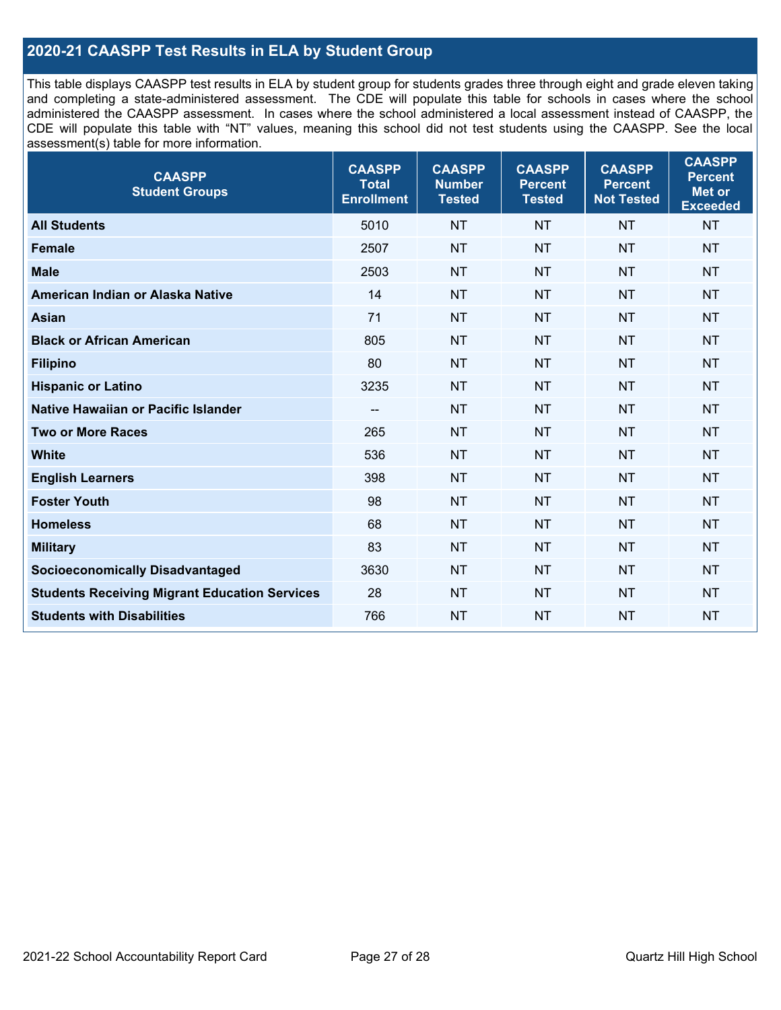### **2020-21 CAASPP Test Results in ELA by Student Group**

This table displays CAASPP test results in ELA by student group for students grades three through eight and grade eleven taking and completing a state-administered assessment. The CDE will populate this table for schools in cases where the school administered the CAASPP assessment. In cases where the school administered a local assessment instead of CAASPP, the CDE will populate this table with "NT" values, meaning this school did not test students using the CAASPP. See the local assessment(s) table for more information.

| <b>CAASPP</b><br><b>Student Groups</b>               | <b>CAASPP</b><br><b>Total</b><br><b>Enrollment</b> | <b>CAASPP</b><br><b>Number</b><br><b>Tested</b> | <b>CAASPP</b><br><b>Percent</b><br><b>Tested</b> | <b>CAASPP</b><br><b>Percent</b><br><b>Not Tested</b> | <b>CAASPP</b><br><b>Percent</b><br>Met or<br><b>Exceeded</b> |
|------------------------------------------------------|----------------------------------------------------|-------------------------------------------------|--------------------------------------------------|------------------------------------------------------|--------------------------------------------------------------|
| <b>All Students</b>                                  | 5010                                               | <b>NT</b>                                       | <b>NT</b>                                        | <b>NT</b>                                            | <b>NT</b>                                                    |
| <b>Female</b>                                        | 2507                                               | <b>NT</b>                                       | <b>NT</b>                                        | <b>NT</b>                                            | <b>NT</b>                                                    |
| <b>Male</b>                                          | 2503                                               | <b>NT</b>                                       | <b>NT</b>                                        | <b>NT</b>                                            | <b>NT</b>                                                    |
| American Indian or Alaska Native                     | 14                                                 | <b>NT</b>                                       | <b>NT</b>                                        | <b>NT</b>                                            | <b>NT</b>                                                    |
| <b>Asian</b>                                         | 71                                                 | <b>NT</b>                                       | <b>NT</b>                                        | <b>NT</b>                                            | <b>NT</b>                                                    |
| <b>Black or African American</b>                     | 805                                                | <b>NT</b>                                       | <b>NT</b>                                        | <b>NT</b>                                            | NT                                                           |
| <b>Filipino</b>                                      | 80                                                 | <b>NT</b>                                       | <b>NT</b>                                        | <b>NT</b>                                            | <b>NT</b>                                                    |
| <b>Hispanic or Latino</b>                            | 3235                                               | <b>NT</b>                                       | <b>NT</b>                                        | <b>NT</b>                                            | <b>NT</b>                                                    |
| <b>Native Hawaiian or Pacific Islander</b>           | --                                                 | <b>NT</b>                                       | <b>NT</b>                                        | <b>NT</b>                                            | <b>NT</b>                                                    |
| <b>Two or More Races</b>                             | 265                                                | <b>NT</b>                                       | <b>NT</b>                                        | <b>NT</b>                                            | <b>NT</b>                                                    |
| <b>White</b>                                         | 536                                                | <b>NT</b>                                       | <b>NT</b>                                        | <b>NT</b>                                            | <b>NT</b>                                                    |
| <b>English Learners</b>                              | 398                                                | <b>NT</b>                                       | <b>NT</b>                                        | <b>NT</b>                                            | <b>NT</b>                                                    |
| <b>Foster Youth</b>                                  | 98                                                 | <b>NT</b>                                       | <b>NT</b>                                        | <b>NT</b>                                            | <b>NT</b>                                                    |
| <b>Homeless</b>                                      | 68                                                 | <b>NT</b>                                       | <b>NT</b>                                        | <b>NT</b>                                            | <b>NT</b>                                                    |
| <b>Military</b>                                      | 83                                                 | <b>NT</b>                                       | <b>NT</b>                                        | <b>NT</b>                                            | <b>NT</b>                                                    |
| <b>Socioeconomically Disadvantaged</b>               | 3630                                               | <b>NT</b>                                       | <b>NT</b>                                        | <b>NT</b>                                            | <b>NT</b>                                                    |
| <b>Students Receiving Migrant Education Services</b> | 28                                                 | <b>NT</b>                                       | <b>NT</b>                                        | <b>NT</b>                                            | NT                                                           |
| <b>Students with Disabilities</b>                    | 766                                                | <b>NT</b>                                       | <b>NT</b>                                        | <b>NT</b>                                            | NT                                                           |